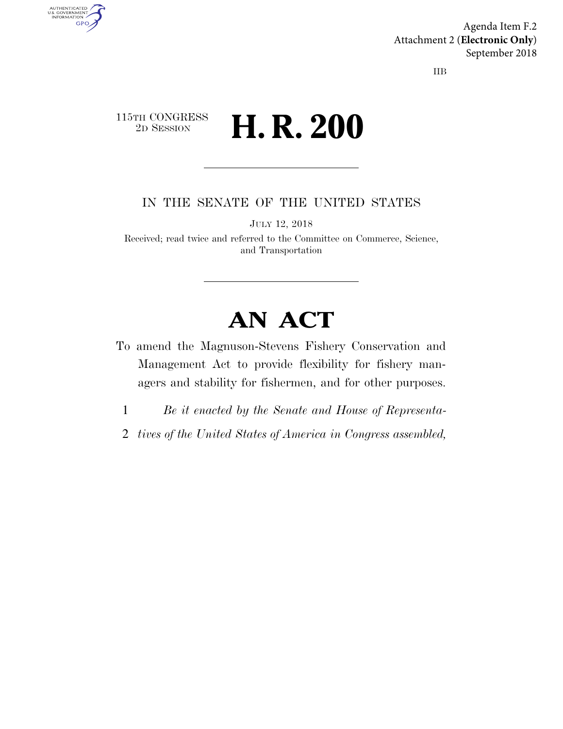Agenda Item F.2 Attachment 2 (**Electronic Only**) September 2018

IIB

### 115TH CONGRESS <sup>2D SESSION</sup> **H. R. 200**

AUTHENTICATED<br>U.S. GOVERNMENT<br>INFORMATION

**GPO** 

IN THE SENATE OF THE UNITED STATES

JULY 12, 2018

Received; read twice and referred to the Committee on Commerce, Science, and Transportation

# **AN ACT**

- To amend the Magnuson-Stevens Fishery Conservation and Management Act to provide flexibility for fishery managers and stability for fishermen, and for other purposes.
	- 1 *Be it enacted by the Senate and House of Representa-*
- 2 *tives of the United States of America in Congress assembled,*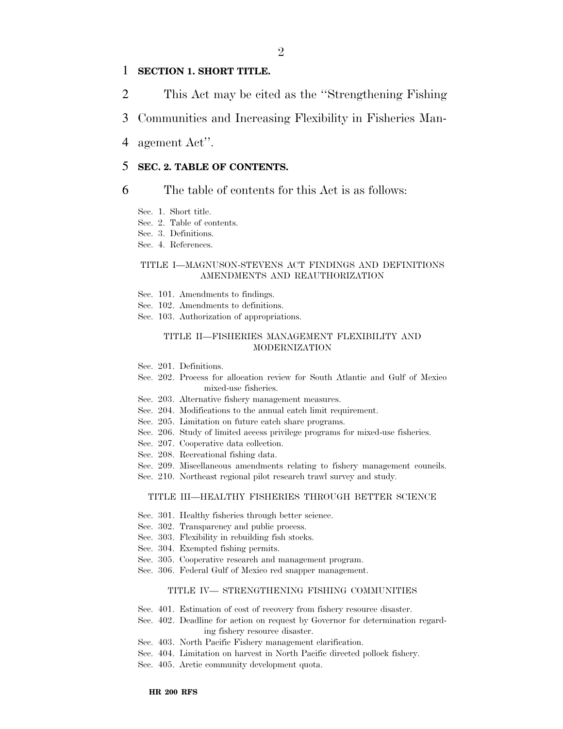### 1 **SECTION 1. SHORT TITLE.**

- 2 This Act may be cited as the ''Strengthening Fishing
- 3 Communities and Increasing Flexibility in Fisheries Man-
- 4 agement Act''.

### 5 **SEC. 2. TABLE OF CONTENTS.**

#### 6 The table of contents for this Act is as follows:

- Sec. 1. Short title.
- Sec. 2. Table of contents.
- Sec. 3. Definitions.
- Sec. 4. References.

#### TITLE I—MAGNUSON-STEVENS ACT FINDINGS AND DEFINITIONS AMENDMENTS AND REAUTHORIZATION

- Sec. 101. Amendments to findings.
- Sec. 102. Amendments to definitions.
- Sec. 103. Authorization of appropriations.

#### TITLE II—FISHERIES MANAGEMENT FLEXIBILITY AND MODERNIZATION

- Sec. 201. Definitions.
- Sec. 202. Process for allocation review for South Atlantic and Gulf of Mexico mixed-use fisheries.
- Sec. 203. Alternative fishery management measures.
- Sec. 204. Modifications to the annual catch limit requirement.
- Sec. 205. Limitation on future catch share programs.
- Sec. 206. Study of limited access privilege programs for mixed-use fisheries.
- Sec. 207. Cooperative data collection.
- Sec. 208. Recreational fishing data.
- Sec. 209. Miscellaneous amendments relating to fishery management councils.
- Sec. 210. Northeast regional pilot research trawl survey and study.

#### TITLE III—HEALTHY FISHERIES THROUGH BETTER SCIENCE

- Sec. 301. Healthy fisheries through better science.
- Sec. 302. Transparency and public process.
- Sec. 303. Flexibility in rebuilding fish stocks.
- Sec. 304. Exempted fishing permits.
- Sec. 305. Cooperative research and management program.
- Sec. 306. Federal Gulf of Mexico red snapper management.

#### TITLE IV— STRENGTHENING FISHING COMMUNITIES

- Sec. 401. Estimation of cost of recovery from fishery resource disaster.
- Sec. 402. Deadline for action on request by Governor for determination regarding fishery resource disaster.
- Sec. 403. North Pacific Fishery management clarification.
- Sec. 404. Limitation on harvest in North Pacific directed pollock fishery.
- Sec. 405. Arctic community development quota.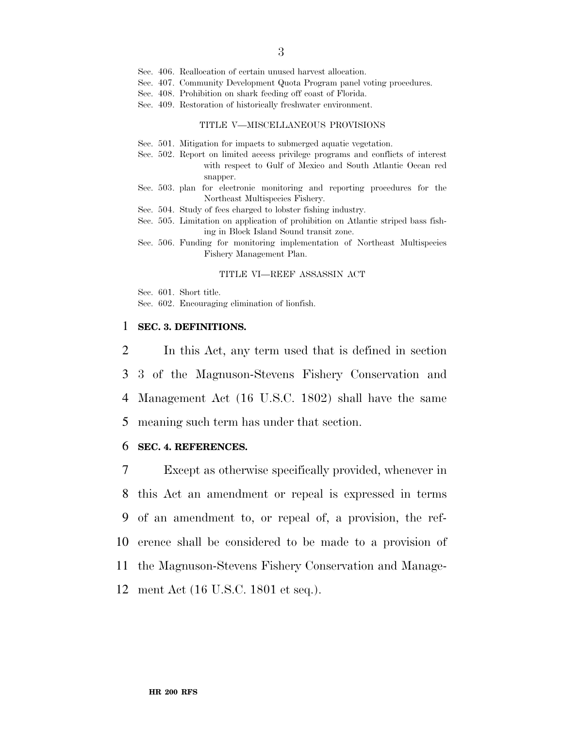- Sec. 406. Reallocation of certain unused harvest allocation.
- Sec. 407. Community Development Quota Program panel voting procedures.
- Sec. 408. Prohibition on shark feeding off coast of Florida.
- Sec. 409. Restoration of historically freshwater environment.

#### TITLE V—MISCELLANEOUS PROVISIONS

- Sec. 501. Mitigation for impacts to submerged aquatic vegetation.
- Sec. 502. Report on limited access privilege programs and conflicts of interest with respect to Gulf of Mexico and South Atlantic Ocean red snapper.
- Sec. 503. plan for electronic monitoring and reporting procedures for the Northeast Multispecies Fishery.
- Sec. 504. Study of fees charged to lobster fishing industry.
- Sec. 505. Limitation on application of prohibition on Atlantic striped bass fishing in Block Island Sound transit zone.
- Sec. 506. Funding for monitoring implementation of Northeast Multispecies Fishery Management Plan.

#### TITLE VI—REEF ASSASSIN ACT

- Sec. 601. Short title.
- Sec. 602. Encouraging elimination of lionfish.

#### 1 **SEC. 3. DEFINITIONS.**

 In this Act, any term used that is defined in section 3 of the Magnuson-Stevens Fishery Conservation and Management Act (16 U.S.C. 1802) shall have the same meaning such term has under that section.

#### 6 **SEC. 4. REFERENCES.**

 Except as otherwise specifically provided, whenever in this Act an amendment or repeal is expressed in terms of an amendment to, or repeal of, a provision, the ref- erence shall be considered to be made to a provision of the Magnuson-Stevens Fishery Conservation and Manage-ment Act (16 U.S.C. 1801 et seq.).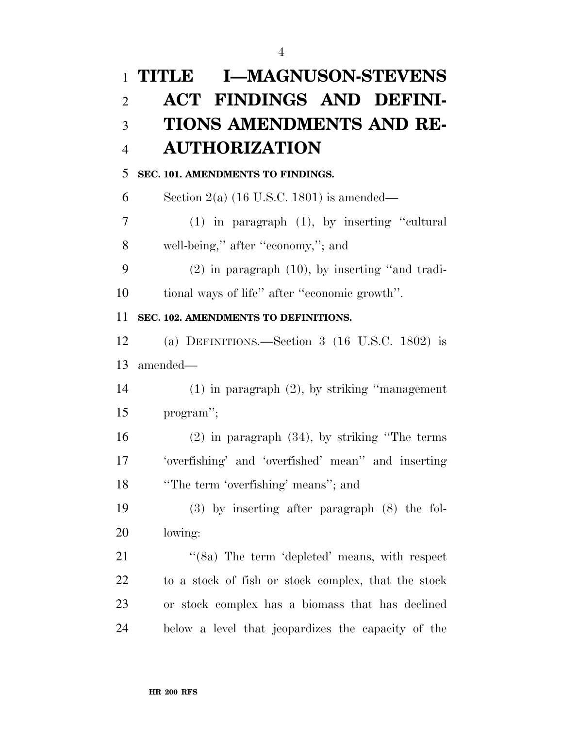# **TITLE I—MAGNUSON-STEVENS ACT FINDINGS AND DEFINI- TIONS AMENDMENTS AND RE- AUTHORIZATION SEC. 101. AMENDMENTS TO FINDINGS.**  6 Section 2(a)  $(16 \text{ U.S.C. } 1801)$  is amended— (1) in paragraph (1), by inserting ''cultural well-being,'' after ''economy,''; and (2) in paragraph (10), by inserting ''and tradi- tional ways of life'' after ''economic growth''. **SEC. 102. AMENDMENTS TO DEFINITIONS.**  (a) DEFINITIONS.—Section 3 (16 U.S.C. 1802) is amended— (1) in paragraph (2), by striking ''management program''; (2) in paragraph (34), by striking ''The terms 'overfishing' and 'overfished' mean'' and inserting ''The term 'overfishing' means''; and (3) by inserting after paragraph (8) the fol- lowing: 21 "(8a) The term 'depleted' means, with respect to a stock of fish or stock complex, that the stock or stock complex has a biomass that has declined below a level that jeopardizes the capacity of the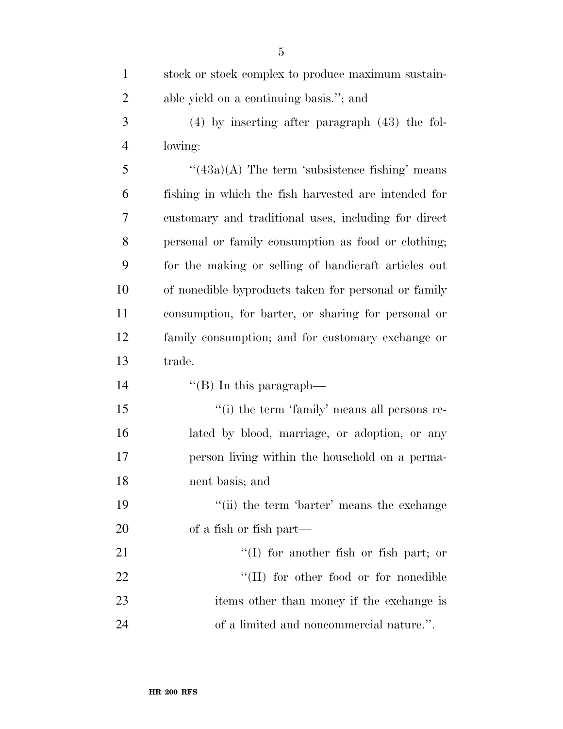| $\mathbf{1}$   | stock or stock complex to produce maximum sustain-   |
|----------------|------------------------------------------------------|
| $\overline{2}$ | able yield on a continuing basis."; and              |
| 3              | $(4)$ by inserting after paragraph $(43)$ the fol-   |
| $\overline{4}$ | lowing:                                              |
| 5              | " $(43a)(A)$ The term 'subsistence fishing' means    |
| 6              | fishing in which the fish harvested are intended for |
| 7              | customary and traditional uses, including for direct |
| 8              | personal or family consumption as food or clothing;  |
| 9              | for the making or selling of handicraft articles out |
| 10             | of nonedible byproducts taken for personal or family |
| 11             | consumption, for barter, or sharing for personal or  |
| 12             | family consumption; and for customary exchange or    |
| 13             | trade.                                               |
| 14             | "(B) In this paragraph—                              |
| 15             | "(i) the term 'family' means all persons re-         |
| 16             | lated by blood, marriage, or adoption, or any        |
| 17             | person living within the household on a perma-       |
| 18             | nent basis; and                                      |
| 19             | "(ii) the term 'barter' means the exchange           |
| 20             | of a fish or fish part—                              |
| 21             | $\lq(1)$ for another fish or fish part; or           |
| 22             | $\lq\lq$ (II) for other food or for nonedible        |
| 23             | items other than money if the exchange is            |
| 24             | of a limited and noncommercial nature.".             |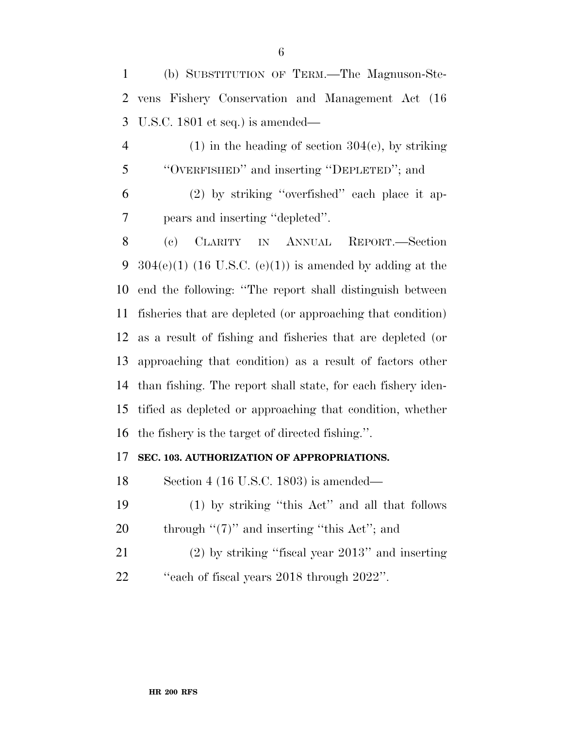(b) SUBSTITUTION OF TERM.—The Magnuson-Ste- vens Fishery Conservation and Management Act (16 U.S.C. 1801 et seq.) is amended—

4 (1) in the heading of section  $304(e)$ , by striking ''OVERFISHED'' and inserting ''DEPLETED''; and

 (2) by striking ''overfished'' each place it ap-pears and inserting ''depleted''.

 (c) CLARITY IN ANNUAL REPORT.—Section 9 304(e)(1) (16 U.S.C. (e)(1)) is amended by adding at the end the following: ''The report shall distinguish between fisheries that are depleted (or approaching that condition) as a result of fishing and fisheries that are depleted (or approaching that condition) as a result of factors other than fishing. The report shall state, for each fishery iden- tified as depleted or approaching that condition, whether the fishery is the target of directed fishing.''.

### **SEC. 103. AUTHORIZATION OF APPROPRIATIONS.**

Section 4 (16 U.S.C. 1803) is amended—

- (1) by striking ''this Act'' and all that follows 20 through  $\lq(7)$ " and inserting "this Act"; and
- (2) by striking ''fiscal year 2013'' and inserting ''each of fiscal years 2018 through 2022''.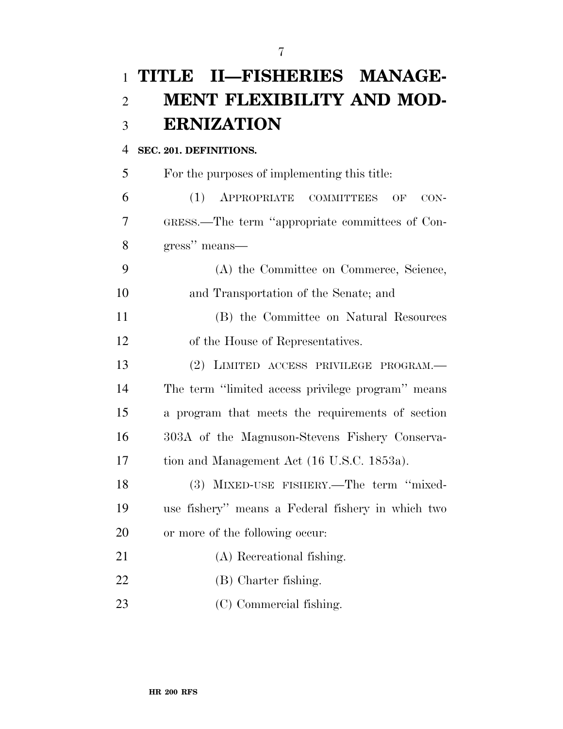# **TITLE II—FISHERIES MANAGE- MENT FLEXIBILITY AND MOD-ERNIZATION**

### **SEC. 201. DEFINITIONS.**

 For the purposes of implementing this title: (1) APPROPRIATE COMMITTEES OF CON- GRESS.—The term ''appropriate committees of Con- gress'' means— (A) the Committee on Commerce, Science, and Transportation of the Senate; and

 (B) the Committee on Natural Resources of the House of Representatives.

 (2) LIMITED ACCESS PRIVILEGE PROGRAM.— The term ''limited access privilege program'' means a program that meets the requirements of section 303A of the Magnuson-Stevens Fishery Conserva-tion and Management Act (16 U.S.C. 1853a).

 (3) MIXED-USE FISHERY.—The term ''mixed- use fishery'' means a Federal fishery in which two or more of the following occur:

- (A) Recreational fishing.
- (B) Charter fishing.
- (C) Commercial fishing.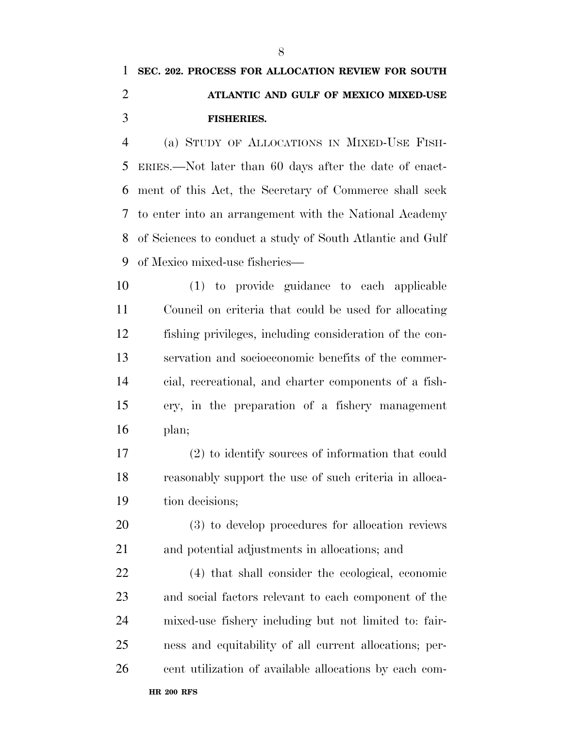# **SEC. 202. PROCESS FOR ALLOCATION REVIEW FOR SOUTH ATLANTIC AND GULF OF MEXICO MIXED-USE FISHERIES.**

 (a) STUDY OF ALLOCATIONS IN MIXED-USE FISH- ERIES.—Not later than 60 days after the date of enact- ment of this Act, the Secretary of Commerce shall seek to enter into an arrangement with the National Academy of Sciences to conduct a study of South Atlantic and Gulf of Mexico mixed-use fisheries—

 (1) to provide guidance to each applicable Council on criteria that could be used for allocating fishing privileges, including consideration of the con- servation and socioeconomic benefits of the commer- cial, recreational, and charter components of a fish- ery, in the preparation of a fishery management plan;

 (2) to identify sources of information that could reasonably support the use of such criteria in alloca-tion decisions;

 (3) to develop procedures for allocation reviews and potential adjustments in allocations; and

 (4) that shall consider the ecological, economic and social factors relevant to each component of the mixed-use fishery including but not limited to: fair- ness and equitability of all current allocations; per-cent utilization of available allocations by each com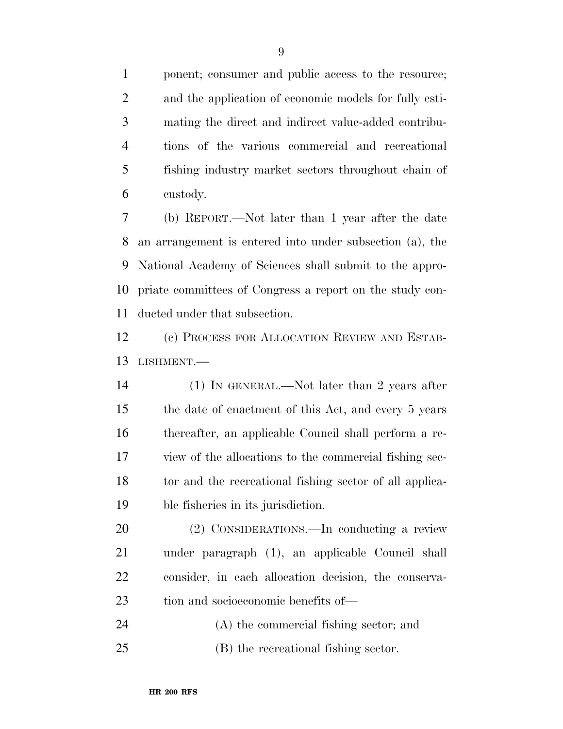ponent; consumer and public access to the resource; and the application of economic models for fully esti- mating the direct and indirect value-added contribu- tions of the various commercial and recreational fishing industry market sectors throughout chain of custody.

 (b) REPORT.—Not later than 1 year after the date an arrangement is entered into under subsection (a), the National Academy of Sciences shall submit to the appro- priate committees of Congress a report on the study con-ducted under that subsection.

 (c) PROCESS FOR ALLOCATION REVIEW AND ESTAB-LISHMENT.—

 (1) IN GENERAL.—Not later than 2 years after the date of enactment of this Act, and every 5 years thereafter, an applicable Council shall perform a re- view of the allocations to the commercial fishing sec- tor and the recreational fishing sector of all applica-ble fisheries in its jurisdiction.

 (2) CONSIDERATIONS.—In conducting a review under paragraph (1), an applicable Council shall consider, in each allocation decision, the conserva-tion and socioeconomic benefits of—

(A) the commercial fishing sector; and

(B) the recreational fishing sector.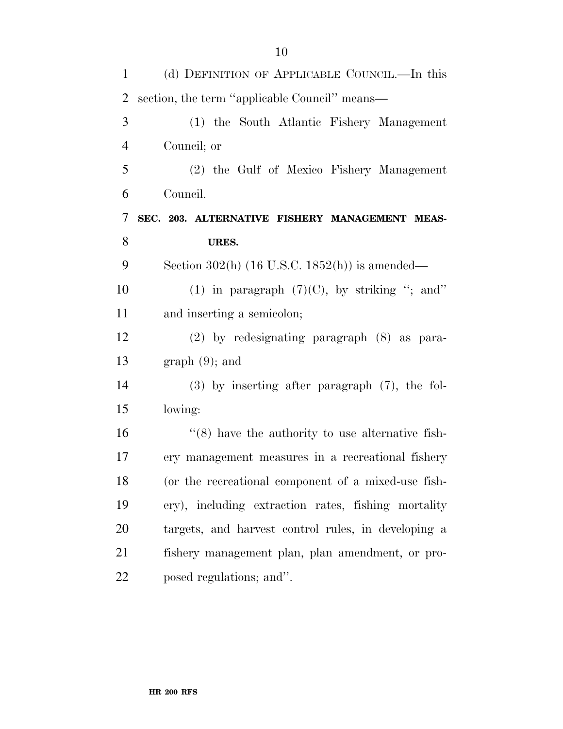| $\mathbf{1}$   | (d) DEFINITION OF APPLICABLE COUNCIL.—In this           |
|----------------|---------------------------------------------------------|
| 2              | section, the term "applicable Council" means—           |
| 3              | (1) the South Atlantic Fishery Management               |
| $\overline{4}$ | Council; or                                             |
| 5              | (2) the Gulf of Mexico Fishery Management               |
| 6              | Council.                                                |
| 7              | SEC. 203. ALTERNATIVE FISHERY MANAGEMENT MEAS-          |
| 8              | URES.                                                   |
| 9              | Section 302(h) $(16$ U.S.C. $1852(h)$ is amended—       |
| 10             | (1) in paragraph $(7)(C)$ , by striking "; and"         |
| 11             | and inserting a semicolon;                              |
| 12             | (2) by redesignating paragraph (8) as para-             |
| 13             | $graph(9)$ ; and                                        |
| 14             | $(3)$ by inserting after paragraph $(7)$ , the fol-     |
| 15             | lowing:                                                 |
| 16             | $\cdot$ (8) have the authority to use alternative fish- |
| 17             | ery management measures in a recreational fishery       |
| 18             | (or the recreational component of a mixed-use fish-     |
| 19             | ery), including extraction rates, fishing mortality     |
| 20             | targets, and harvest control rules, in developing a     |
| 21             | fishery management plan, plan amendment, or pro-        |
| 22             | posed regulations; and".                                |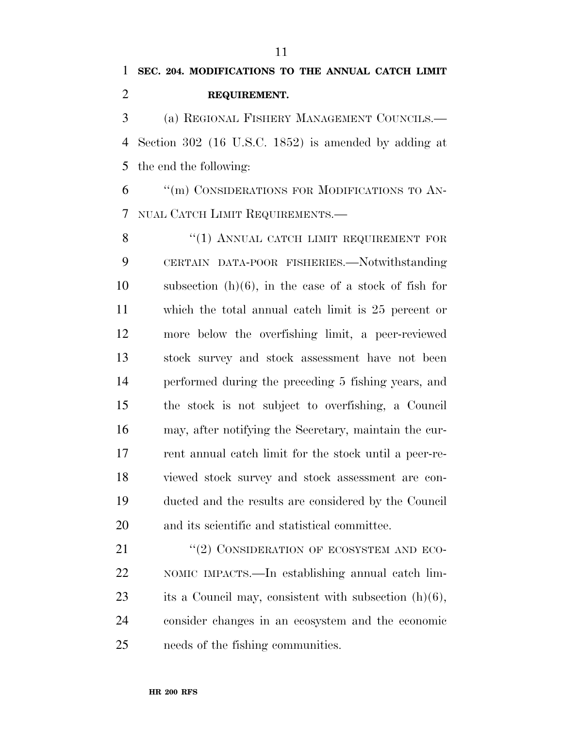# **SEC. 204. MODIFICATIONS TO THE ANNUAL CATCH LIMIT REQUIREMENT.**

 (a) REGIONAL FISHERY MANAGEMENT COUNCILS.— Section 302 (16 U.S.C. 1852) is amended by adding at the end the following:

 ''(m) CONSIDERATIONS FOR MODIFICATIONS TO AN-NUAL CATCH LIMIT REQUIREMENTS.—

8 "(1) ANNUAL CATCH LIMIT REQUIREMENT FOR CERTAIN DATA-POOR FISHERIES.—Notwithstanding subsection (h)(6), in the case of a stock of fish for which the total annual catch limit is 25 percent or more below the overfishing limit, a peer-reviewed stock survey and stock assessment have not been performed during the preceding 5 fishing years, and the stock is not subject to overfishing, a Council may, after notifying the Secretary, maintain the cur- rent annual catch limit for the stock until a peer-re- viewed stock survey and stock assessment are con- ducted and the results are considered by the Council and its scientific and statistical committee.

21 "(2) CONSIDERATION OF ECOSYSTEM AND ECO- NOMIC IMPACTS.—In establishing annual catch lim- its a Council may, consistent with subsection (h)(6), consider changes in an ecosystem and the economic needs of the fishing communities.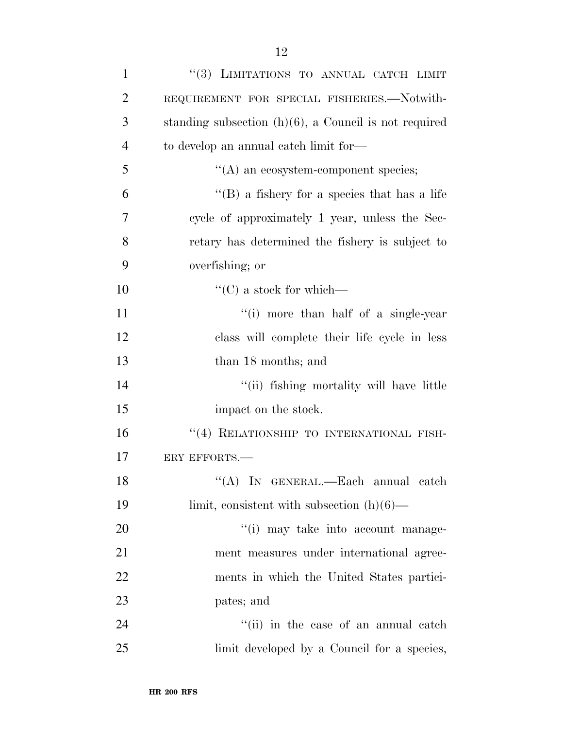| $\mathbf{1}$   | "(3) LIMITATIONS TO ANNUAL CATCH LIMIT                   |
|----------------|----------------------------------------------------------|
| $\overline{2}$ | REQUIREMENT FOR SPECIAL FISHERIES.—Notwith-              |
| 3              | standing subsection $(h)(6)$ , a Council is not required |
| $\overline{4}$ | to develop an annual catch limit for—                    |
| 5              | $\lq\lq$ an ecosystem-component species;                 |
| 6              | "(B) a fishery for a species that has a life             |
| 7              | cycle of approximately 1 year, unless the Sec-           |
| 8              | retary has determined the fishery is subject to          |
| 9              | overfishing; or                                          |
| 10             | $\lq\lq$ (C) a stock for which—                          |
| 11             | "(i) more than half of a single-year                     |
| 12             | class will complete their life cycle in less             |
| 13             | than 18 months; and                                      |
| 14             | "(ii) fishing mortality will have little                 |
| 15             | impact on the stock.                                     |
| 16             | "(4) RELATIONSHIP TO INTERNATIONAL FISH-                 |
| 17             | ERY EFFORTS.                                             |
| 18             | "(A) IN GENERAL.—Each annual catch                       |
| 19             | limit, consistent with subsection $(h)(6)$ —             |
| 20             | "(i) may take into account manage-                       |
| 21             | ment measures under international agree-                 |
| 22             | ments in which the United States partici-                |
| 23             | pates; and                                               |
| 24             | "(ii) in the case of an annual catch                     |
| 25             | limit developed by a Council for a species,              |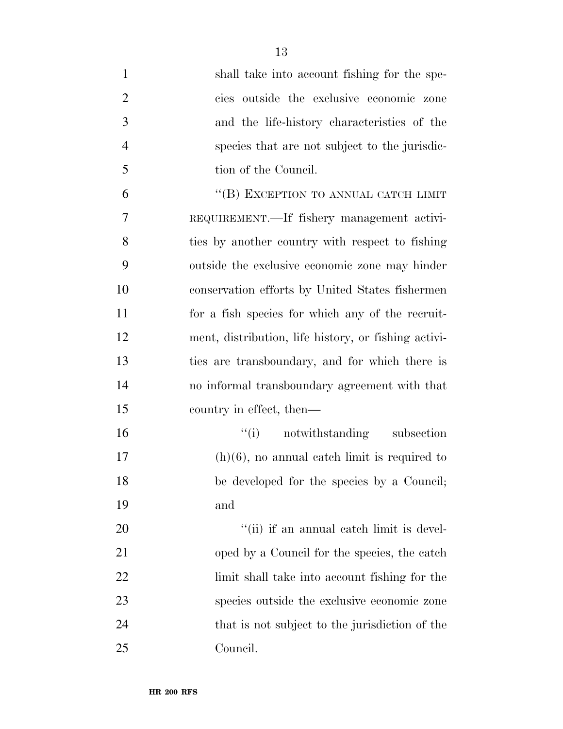| $\mathbf{1}$   | shall take into account fishing for the spe-         |
|----------------|------------------------------------------------------|
| $\overline{2}$ | cies outside the exclusive economic zone             |
| 3              | and the life-history characteristics of the          |
| $\overline{4}$ | species that are not subject to the jurisdic-        |
| 5              | tion of the Council.                                 |
| 6              | "(B) EXCEPTION TO ANNUAL CATCH LIMIT                 |
| 7              | REQUIREMENT.—If fishery management activi-           |
| 8              | ties by another country with respect to fishing      |
| 9              | outside the exclusive economic zone may hinder       |
| 10             | conservation efforts by United States fishermen      |
| 11             | for a fish species for which any of the recruit-     |
| 12             | ment, distribution, life history, or fishing activi- |
| 13             | ties are transboundary, and for which there is       |
| 14             | no informal transboundary agreement with that        |
| 15             | country in effect, then—                             |
| 16             | "(i) notwithstanding subsection                      |
| 17             | $(h)(6)$ , no annual eatch limit is required to      |
| 18             | be developed for the species by a Council;           |
| 19             | and                                                  |
| 20             | "(ii) if an annual catch limit is devel-             |
| 21             | oped by a Council for the species, the catch         |
| 22             | limit shall take into account fishing for the        |
| 23             | species outside the exclusive economic zone          |
| 24             | that is not subject to the jurisdiction of the       |
| 25             | Council.                                             |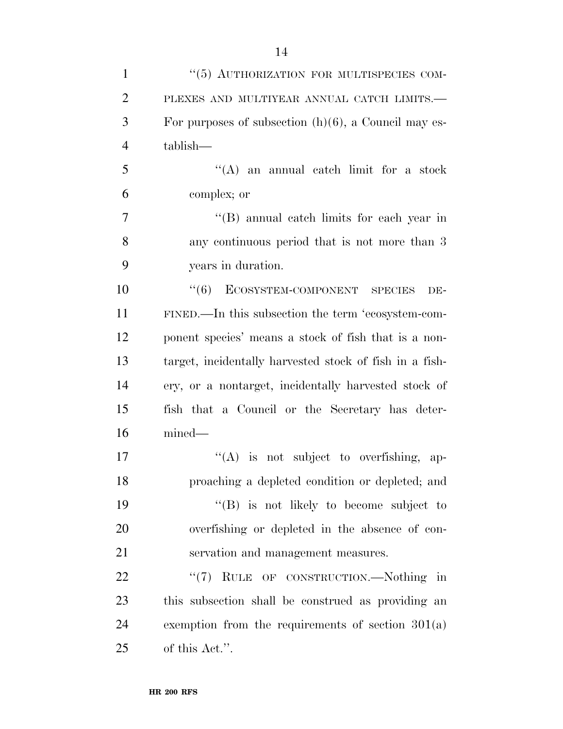| $\mathbf{1}$   | "(5) AUTHORIZATION FOR MULTISPECIES COM-                |
|----------------|---------------------------------------------------------|
| $\overline{2}$ | PLEXES AND MULTIYEAR ANNUAL CATCH LIMITS.-              |
| 3              | For purposes of subsection $(h)(6)$ , a Council may es- |
| $\overline{4}$ | tablish—                                                |
| 5              | $\lq\lq$ and annual catch limit for a stock             |
| 6              | complex; or                                             |
| 7              | "(B) annual catch limits for each year in               |
| 8              | any continuous period that is not more than 3           |
| 9              | years in duration.                                      |
| 10             | ECOSYSTEM-COMPONENT SPECIES<br>(6)<br>DE-               |
| 11             | FINED.—In this subsection the term 'ecosystem-com-      |
| 12             | ponent species' means a stock of fish that is a non-    |
| 13             | target, incidentally harvested stock of fish in a fish- |
| 14             | ery, or a nontarget, incidentally harvested stock of    |
| 15             | fish that a Council or the Secretary has deter-         |
| 16             | $mined$ —                                               |
| 17             | $\lq\lq$ is not subject to overfishing, ap-             |
| 18             | proaching a depleted condition or depleted; and         |
| 19             | $\lq\lq (B)$ is not likely to become subject to         |
| 20             | overfishing or depleted in the absence of con-          |
| 21             | servation and management measures.                      |
| 22             | "(7) RULE OF CONSTRUCTION.—Nothing in                   |
| 23             | this subsection shall be construed as providing an      |
| 24             | exemption from the requirements of section $301(a)$     |
| 25             | of this Act.".                                          |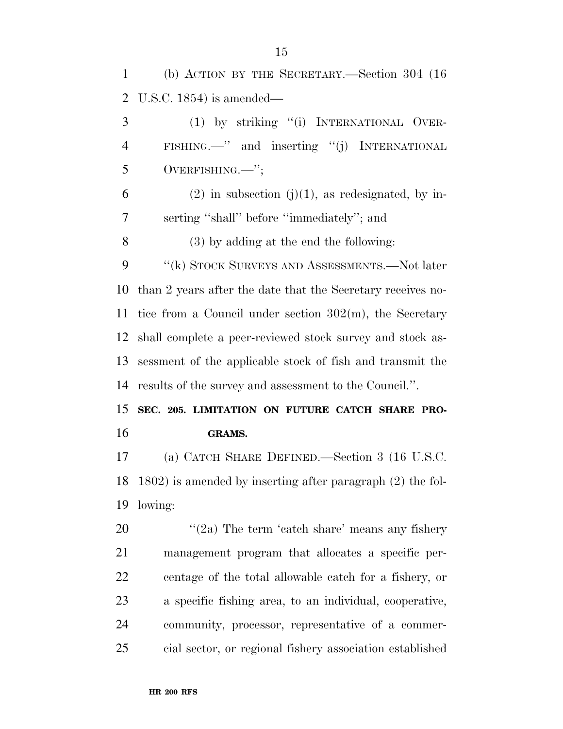(b) ACTION BY THE SECRETARY.—Section 304 (16 U.S.C. 1854) is amended— (1) by striking ''(i) INTERNATIONAL OVER- FISHING.—'' and inserting ''(j) INTERNATIONAL OVERFISHING.—''; 6 (2) in subsection  $(j)(1)$ , as redesignated, by in- serting ''shall'' before ''immediately''; and (3) by adding at the end the following: 9 "(k) STOCK SURVEYS AND ASSESSMENTS.—Not later than 2 years after the date that the Secretary receives no- tice from a Council under section 302(m), the Secretary shall complete a peer-reviewed stock survey and stock as- sessment of the applicable stock of fish and transmit the results of the survey and assessment to the Council.''.

 **SEC. 205. LIMITATION ON FUTURE CATCH SHARE PRO-GRAMS.** 

 (a) CATCH SHARE DEFINED.—Section 3 (16 U.S.C. 1802) is amended by inserting after paragraph (2) the fol-lowing:

 $\frac{1}{2a}$  The term 'catch share' means any fishery management program that allocates a specific per- centage of the total allowable catch for a fishery, or a specific fishing area, to an individual, cooperative, community, processor, representative of a commer-cial sector, or regional fishery association established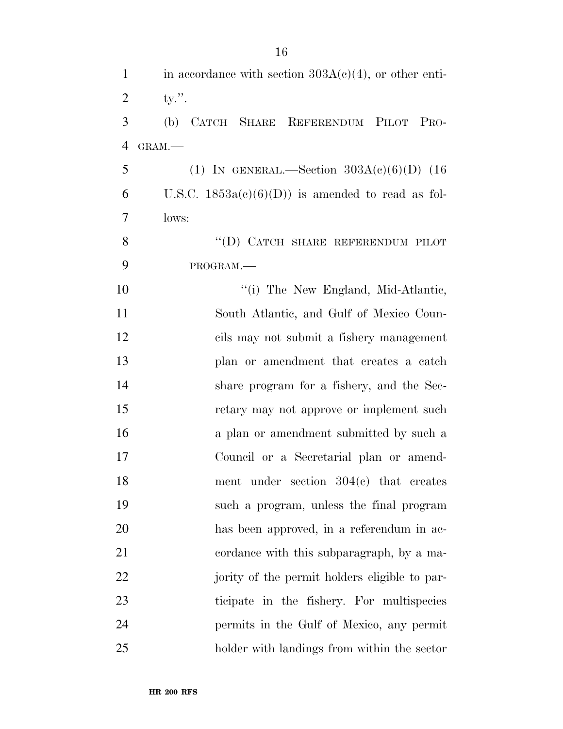| $\mathbf{1}$   | in accordance with section $303A(c)(4)$ , or other enti- |
|----------------|----------------------------------------------------------|
| $\overline{2}$ | ty.''.                                                   |
| 3              | (b) CATCH SHARE REFERENDUM PILOT PRO-                    |
| 4              | GRAM.                                                    |
| 5              | (1) IN GENERAL.—Section $303A(c)(6)(D)$ (16              |
| 6              | U.S.C. $1853a(c)(6)(D)$ is amended to read as fol-       |
| 7              | lows:                                                    |
| 8              | "(D) CATCH SHARE REFERENDUM PILOT                        |
| 9              | PROGRAM.                                                 |
| 10             | "(i) The New England, Mid-Atlantic,                      |
| 11             | South Atlantic, and Gulf of Mexico Coun-                 |
| 12             | cils may not submit a fishery management                 |
| 13             | plan or amendment that creates a catch                   |
| 14             | share program for a fishery, and the Sec-                |
| 15             | retary may not approve or implement such                 |
| 16             | a plan or amendment submitted by such a                  |
| 17             | Council or a Secretarial plan or amend-                  |
| 18             | ment under section $304(c)$ that creates                 |
| 19             | such a program, unless the final program                 |
| 20             | has been approved, in a referendum in ac-                |
| 21             | cordance with this subparagraph, by a ma-                |
| 22             | jority of the permit holders eligible to par-            |
| 23             | ticipate in the fishery. For multispecies                |
| 24             | permits in the Gulf of Mexico, any permit                |
| 25             | holder with landings from within the sector              |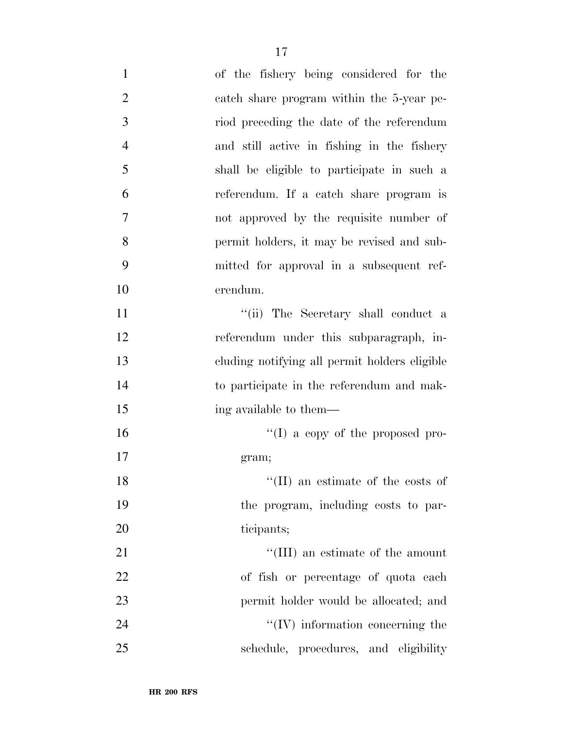| $\mathbf{1}$   | of the fishery being considered for the       |
|----------------|-----------------------------------------------|
| $\overline{2}$ | eatch share program within the 5-year pe-     |
| 3              | riod preceding the date of the referendum     |
| $\overline{4}$ | and still active in fishing in the fishery    |
| 5              | shall be eligible to participate in such a    |
| 6              | referendum. If a catch share program is       |
| 7              | not approved by the requisite number of       |
| 8              | permit holders, it may be revised and sub-    |
| 9              | mitted for approval in a subsequent ref-      |
| 10             | erendum.                                      |
| 11             | "(ii) The Secretary shall conduct a           |
| 12             | referendum under this subparagraph, in-       |
| 13             | cluding notifying all permit holders eligible |
| 14             | to participate in the referendum and mak-     |
| 15             | ing available to them—                        |
| 16             | $\lq\lq$ (I) a copy of the proposed pro-      |
| 17             | gram;                                         |
| 18             | $\lq\lq$ (II) an estimate of the costs of     |
| 19             | the program, including costs to par-          |
| 20             | ticipants;                                    |
| 21             | "(III) an estimate of the amount              |
| 22             | of fish or percentage of quota each           |
| 23             | permit holder would be allocated; and         |
| 24             | $\lq\lq$ (IV) information concerning the      |
| 25             | schedule, procedures, and eligibility         |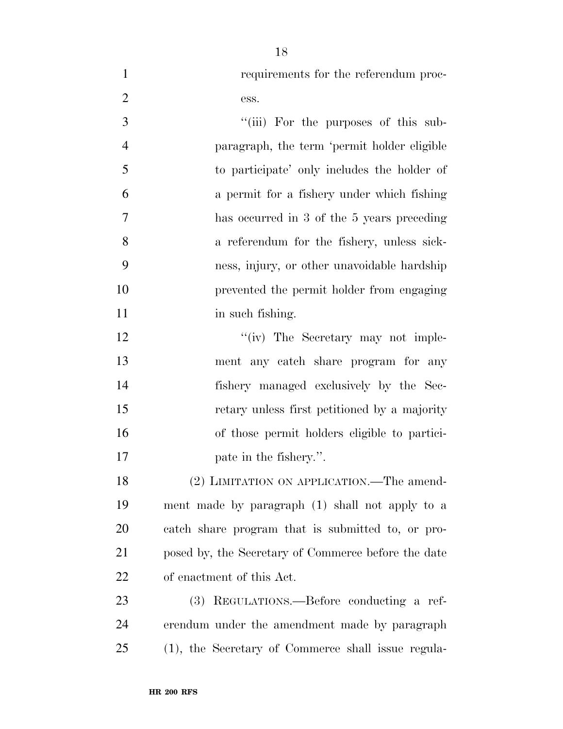requirements for the referendum proc-2 ess. 3 "(iii) For the purposes of this sub- paragraph, the term 'permit holder eligible to participate' only includes the holder of a permit for a fishery under which fishing has occurred in 3 of the 5 years preceding a referendum for the fishery, unless sick- ness, injury, or other unavoidable hardship prevented the permit holder from engaging 11 in such fishing. 12 ''(iv) The Secretary may not imple- ment any catch share program for any fishery managed exclusively by the Sec- retary unless first petitioned by a majority of those permit holders eligible to partici- pate in the fishery.''. 18 (2) LIMITATION ON APPLICATION.—The amend- ment made by paragraph (1) shall not apply to a catch share program that is submitted to, or pro-

posed by, the Secretary of Commerce before the date

(3) REGULATIONS.—Before conducting a ref-

erendum under the amendment made by paragraph

(1), the Secretary of Commerce shall issue regula-

**HR 200 RFS**

of enactment of this Act.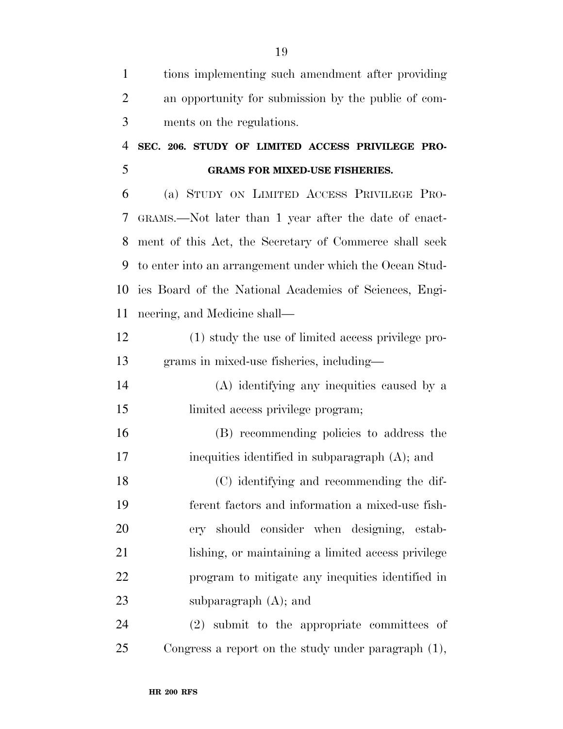| $\mathbf{1}$   | tions implementing such amendment after providing        |
|----------------|----------------------------------------------------------|
| $\overline{2}$ | an opportunity for submission by the public of com-      |
| 3              | ments on the regulations.                                |
| 4              | SEC. 206. STUDY OF LIMITED ACCESS PRIVILEGE PRO-         |
| 5              | <b>GRAMS FOR MIXED-USE FISHERIES.</b>                    |
| 6              | (a) STUDY ON LIMITED ACCESS PRIVILEGE PRO-               |
| 7              | GRAMS.—Not later than 1 year after the date of enact-    |
| 8              | ment of this Act, the Secretary of Commerce shall seek   |
| 9              | to enter into an arrangement under which the Ocean Stud- |
| 10             | ies Board of the National Academies of Sciences, Engi-   |
| 11             | neering, and Medicine shall—                             |
| 12             | (1) study the use of limited access privilege pro-       |
| 13             | grams in mixed-use fisheries, including—                 |
| 14             | (A) identifying any inequities caused by a               |
| 15             | limited access privilege program;                        |
| 16             | (B) recommending policies to address the                 |
| 17             | inequities identified in subparagraph (A); and           |
| 18             | (C) identifying and recommending the dif-                |
| 19             | ferent factors and information a mixed-use fish-         |
| 20             | ery should consider when designing, estab-               |
| 21             | lishing, or maintaining a limited access privilege       |
| 22             | program to mitigate any inequities identified in         |
| 23             | subparagraph $(A)$ ; and                                 |
| 24             | (2) submit to the appropriate committees of              |
| 25             | Congress a report on the study under paragraph $(1)$ ,   |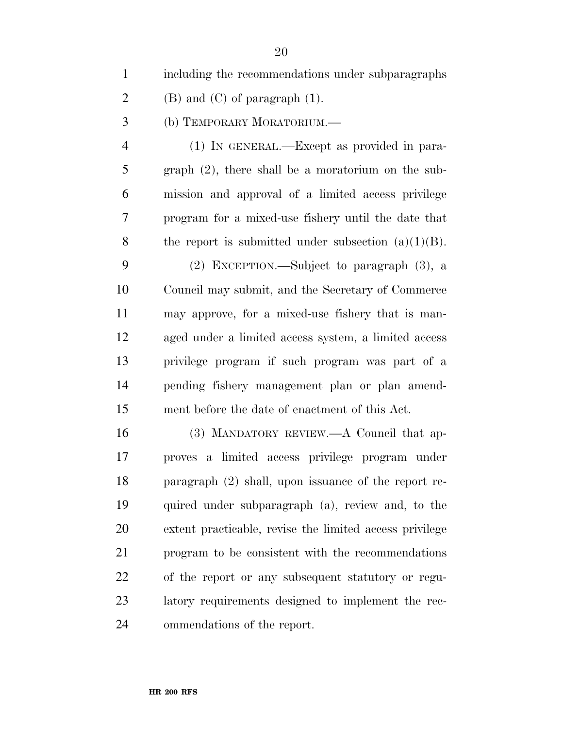including the recommendations under subparagraphs

- 2 (B) and (C) of paragraph  $(1)$ .
- (b) TEMPORARY MORATORIUM.—

 (1) IN GENERAL.—Except as provided in para- graph (2), there shall be a moratorium on the sub- mission and approval of a limited access privilege program for a mixed-use fishery until the date that 8 the report is submitted under subsection  $(a)(1)(B)$ .

 (2) EXCEPTION.—Subject to paragraph (3), a Council may submit, and the Secretary of Commerce may approve, for a mixed-use fishery that is man- aged under a limited access system, a limited access privilege program if such program was part of a pending fishery management plan or plan amend-ment before the date of enactment of this Act.

 (3) MANDATORY REVIEW.—A Council that ap- proves a limited access privilege program under paragraph (2) shall, upon issuance of the report re- quired under subparagraph (a), review and, to the extent practicable, revise the limited access privilege program to be consistent with the recommendations of the report or any subsequent statutory or regu- latory requirements designed to implement the rec-ommendations of the report.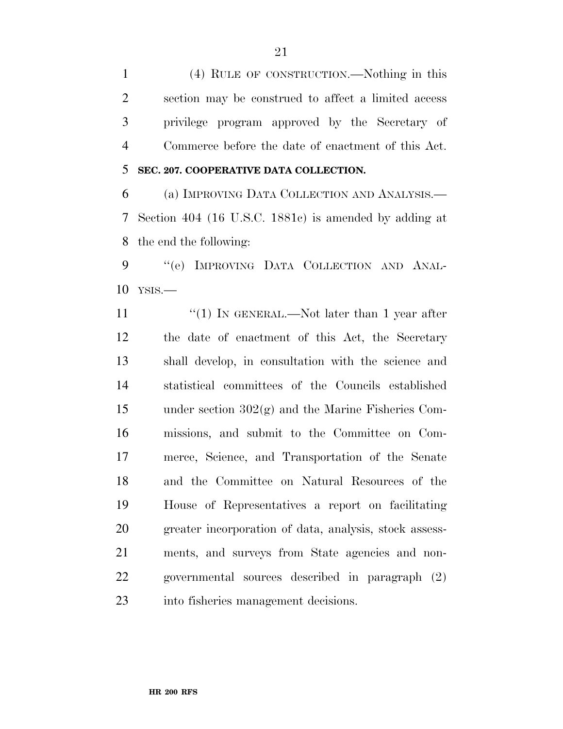(4) RULE OF CONSTRUCTION.—Nothing in this section may be construed to affect a limited access privilege program approved by the Secretary of Commerce before the date of enactment of this Act. **SEC. 207. COOPERATIVE DATA COLLECTION.** 

 (a) IMPROVING DATA COLLECTION AND ANALYSIS.— Section 404 (16 U.S.C. 1881c) is amended by adding at the end the following:

9 "'(e) IMPROVING DATA COLLECTION AND ANAL-YSIS.—

11 ''(1) IN GENERAL.—Not later than 1 year after the date of enactment of this Act, the Secretary shall develop, in consultation with the science and statistical committees of the Councils established under section 302(g) and the Marine Fisheries Com- missions, and submit to the Committee on Com- merce, Science, and Transportation of the Senate and the Committee on Natural Resources of the House of Representatives a report on facilitating greater incorporation of data, analysis, stock assess- ments, and surveys from State agencies and non- governmental sources described in paragraph (2) into fisheries management decisions.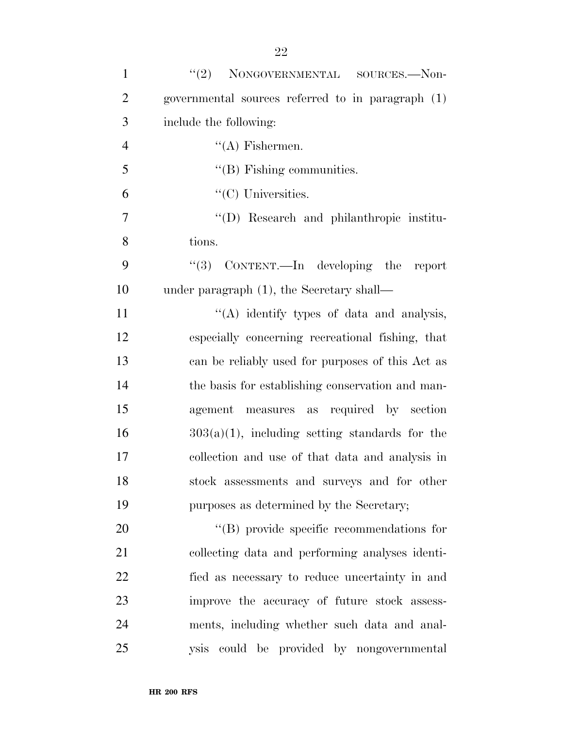| $\mathbf{1}$   | (2)<br>NONGOVERNMENTAL SOURCES.-Non-              |
|----------------|---------------------------------------------------|
| $\overline{2}$ | governmental sources referred to in paragraph (1) |
| 3              | include the following:                            |
| $\overline{4}$ | $\lq\lq$ Fishermen.                               |
| 5              | $\lq\lq$ (B) Fishing communities.                 |
| 6              | $\lq\lq$ Universities.                            |
| 7              | "(D) Research and philanthropic institu-          |
| 8              | tions.                                            |
| 9              | " $(3)$ CONTENT.—In developing the report         |
| 10             | under paragraph (1), the Secretary shall—         |
| 11             | "(A) identify types of data and analysis,         |
| 12             | especially concerning recreational fishing, that  |
| 13             | can be reliably used for purposes of this Act as  |
| 14             | the basis for establishing conservation and man-  |
| 15             | agement measures as required by section           |
| 16             | $303(a)(1)$ , including setting standards for the |
| 17             | collection and use of that data and analysis in   |
| 18             | stock assessments and surveys and for other       |
| 19             | purposes as determined by the Secretary;          |
| 20             | $\lq\lq$ (B) provide specific recommendations for |
| 21             | collecting data and performing analyses identi-   |
| 22             | fied as necessary to reduce uncertainty in and    |
| 23             | improve the accuracy of future stock assess-      |
| 24             | ments, including whether such data and anal-      |
| 25             | ysis could be provided by nongovernmental         |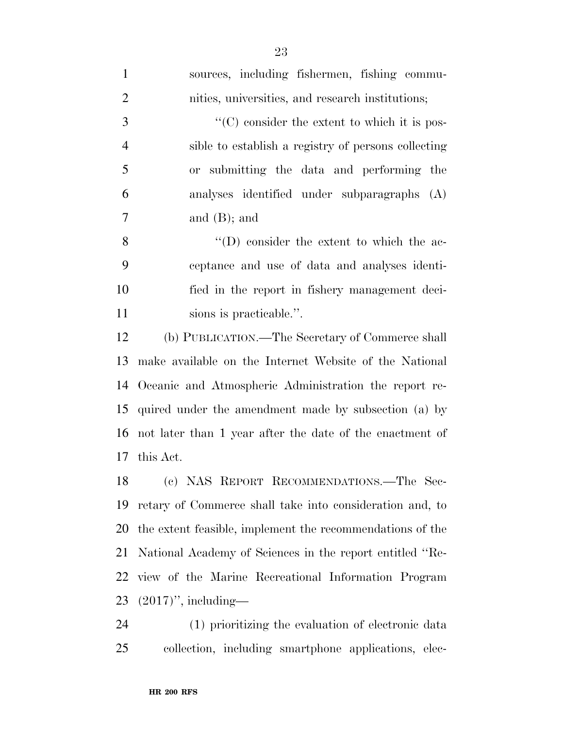| $\mathbf{1}$   | sources, including fishermen, fishing commu-              |
|----------------|-----------------------------------------------------------|
| $\overline{2}$ | nities, universities, and research institutions;          |
| 3              | $\cdot$ (C) consider the extent to which it is pos-       |
| $\overline{4}$ | sible to establish a registry of persons collecting       |
| 5              | or submitting the data and performing the                 |
| 6              | analyses identified under subparagraphs (A)               |
| 7              | and $(B)$ ; and                                           |
| 8              | $\lq\lq$ (D) consider the extent to which the ac-         |
| 9              | ceptance and use of data and analyses identi-             |
| 10             | fied in the report in fishery management deci-            |
| 11             | sions is practicable.".                                   |
| 12             | (b) PUBLICATION.—The Secretary of Commerce shall          |
| 13             | make available on the Internet Website of the National    |
| 14             | Oceanic and Atmospheric Administration the report re-     |
| 15             | quired under the amendment made by subsection (a) by      |
| 16             | not later than 1 year after the date of the enactment of  |
| 17             | this Act.                                                 |
| 18             | (c) NAS REPORT RECOMMENDATIONS.-The Sec-                  |
| 19             | retary of Commerce shall take into consideration and, to  |
| 20             | the extent feasible, implement the recommendations of the |
| 21             | National Academy of Sciences in the report entitled "Re-  |
| 22             | view of the Marine Recreational Information Program       |
| 23             | $(2017)$ ", including—                                    |
| 24             | (1) prioritizing the evaluation of electronic data        |
| 25             | collection, including smartphone applications, elec-      |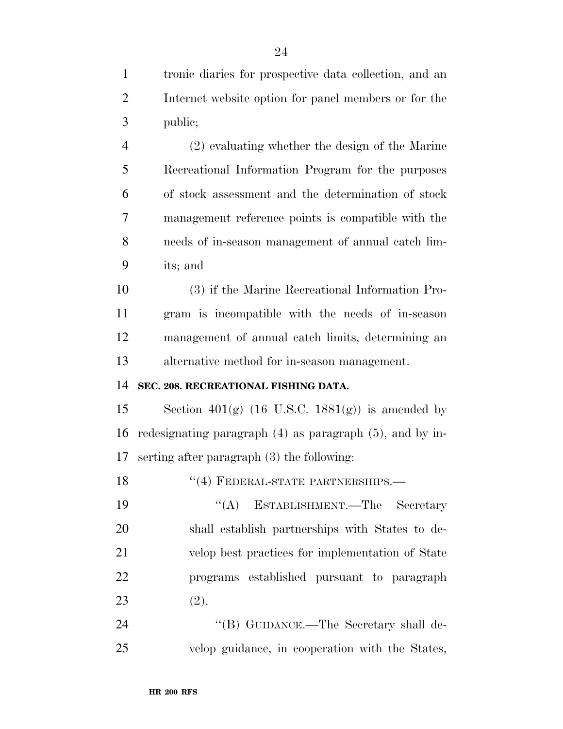tronic diaries for prospective data collection, and an Internet website option for panel members or for the public; (2) evaluating whether the design of the Marine Recreational Information Program for the purposes of stock assessment and the determination of stock management reference points is compatible with the needs of in-season management of annual catch lim- its; and (3) if the Marine Recreational Information Pro- gram is incompatible with the needs of in-season management of annual catch limits, determining an alternative method for in-season management. **SEC. 208. RECREATIONAL FISHING DATA.**  15 Section 401 $(g)$  (16 U.S.C. 1881 $(g)$ ) is amended by redesignating paragraph (4) as paragraph (5), and by in- serting after paragraph (3) the following: 18 "(4) FEDERAL-STATE PARTNERSHIPS.— 19 "(A) ESTABLISHMENT.—The Secretary shall establish partnerships with States to de- velop best practices for implementation of State programs established pursuant to paragraph

24 "(B) GUIDANCE.—The Secretary shall de-velop guidance, in cooperation with the States,

(2).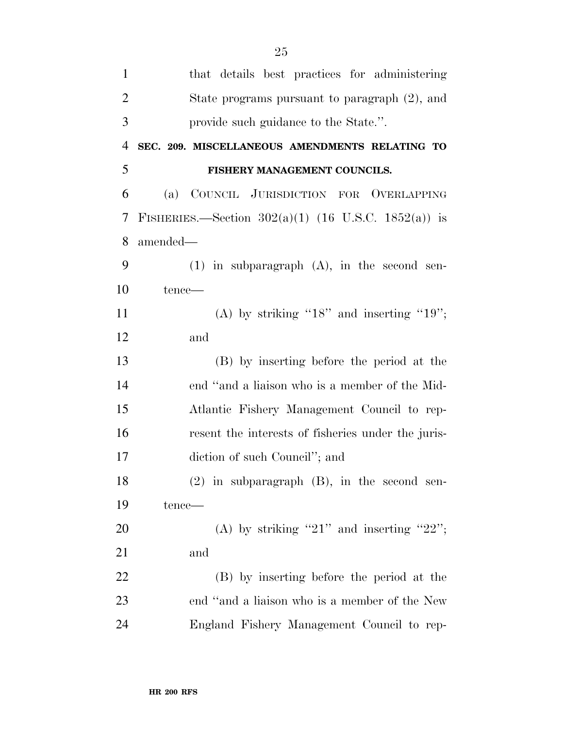| $\mathbf{1}$   | that details best practices for administering         |
|----------------|-------------------------------------------------------|
| $\overline{2}$ | State programs pursuant to paragraph (2), and         |
| 3              | provide such guidance to the State.".                 |
| $\overline{4}$ | SEC. 209. MISCELLANEOUS AMENDMENTS RELATING TO        |
| 5              | FISHERY MANAGEMENT COUNCILS.                          |
| 6              | (a) COUNCIL JURISDICTION FOR OVERLAPPING              |
| 7              | FISHERIES.—Section $302(a)(1)$ (16 U.S.C. 1852(a)) is |
| 8              | amended-                                              |
| 9              | $(1)$ in subparagraph $(A)$ , in the second sen-      |
| 10             | tence-                                                |
| 11             | (A) by striking " $18$ " and inserting " $19$ ";      |
| 12             | and                                                   |
| 13             | (B) by inserting before the period at the             |
| 14             | end "and a liaison who is a member of the Mid-        |
| 15             | Atlantic Fishery Management Council to rep-           |
| 16             | resent the interests of fisheries under the juris-    |
| 17             | diction of such Council"; and                         |
| 18             | $(2)$ in subparagraph $(B)$ , in the second sen-      |
| 19             | tence—                                                |
| 20             | (A) by striking "21" and inserting "22";              |
| 21             | and                                                   |
| 22             | (B) by inserting before the period at the             |
| 23             | end "and a liaison who is a member of the New         |
| 24             | England Fishery Management Council to rep-            |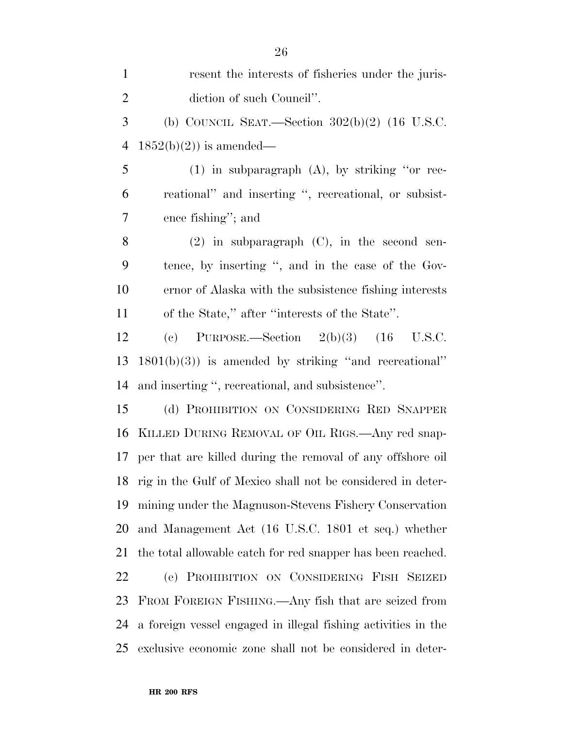| $\mathbf{1}$   | resent the interests of fisheries under the juris-             |
|----------------|----------------------------------------------------------------|
| $\overline{2}$ | diction of such Council".                                      |
| 3              | (b) COUNCIL SEAT.—Section $302(b)(2)$ (16 U.S.C.               |
| $\overline{4}$ | $1852(b)(2)$ is amended—                                       |
| 5              | $(1)$ in subparagraph $(A)$ , by striking "or rec-             |
| 6              | reational" and inserting ", recreational, or subsist-          |
| 7              | ence fishing"; and                                             |
| 8              | $(2)$ in subparagraph $(C)$ , in the second sen-               |
| 9              | tence, by inserting ", and in the case of the Gov-             |
| 10             | ernor of Alaska with the subsistence fishing interests         |
| 11             | of the State," after "interests of the State".                 |
| 12             | (c) PURPOSE.—Section $2(b)(3)$ $(16$ U.S.C.                    |
| 13             | $1801(b)(3)$ ) is amended by striking "and recreational"       |
| 14             | and inserting ", recreational, and subsistence".               |
| 15             | (d) PROHIBITION ON CONSIDERING RED SNAPPER                     |
| 16             | KILLED DURING REMOVAL OF OIL RIGS.—Any red snap-               |
| 17             | per that are killed during the removal of any offshore oil     |
|                | 18 rig in the Gulf of Mexico shall not be considered in deter- |
| 19             | mining under the Magnuson-Stevens Fishery Conservation         |
| 20             | and Management Act (16 U.S.C. 1801 et seq.) whether            |
| 21             | the total allowable catch for red snapper has been reached.    |
| 22             | (e) PROHIBITION ON CONSIDERING FISH SEIZED                     |
| 23             | FROM FOREIGN FISHING.—Any fish that are seized from            |
| 24             | a foreign vessel engaged in illegal fishing activities in the  |
| 25             | exclusive economic zone shall not be considered in deter-      |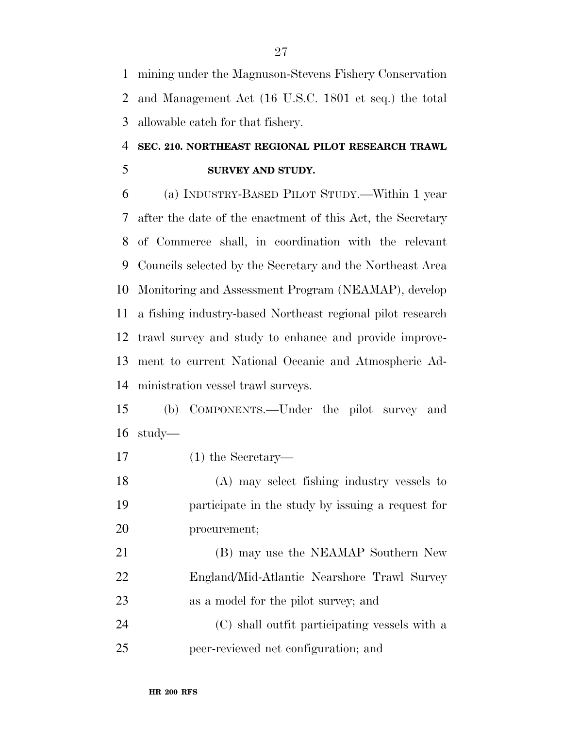mining under the Magnuson-Stevens Fishery Conservation and Management Act (16 U.S.C. 1801 et seq.) the total allowable catch for that fishery.

## **SEC. 210. NORTHEAST REGIONAL PILOT RESEARCH TRAWL SURVEY AND STUDY.**

 (a) INDUSTRY-BASED PILOT STUDY.—Within 1 year after the date of the enactment of this Act, the Secretary of Commerce shall, in coordination with the relevant Councils selected by the Secretary and the Northeast Area Monitoring and Assessment Program (NEAMAP), develop a fishing industry-based Northeast regional pilot research trawl survey and study to enhance and provide improve- ment to current National Oceanic and Atmospheric Ad-ministration vessel trawl surveys.

 (b) COMPONENTS.—Under the pilot survey and study—

(1) the Secretary—

 (A) may select fishing industry vessels to participate in the study by issuing a request for procurement;

 (B) may use the NEAMAP Southern New England/Mid-Atlantic Nearshore Trawl Survey as a model for the pilot survey; and

 (C) shall outfit participating vessels with a peer-reviewed net configuration; and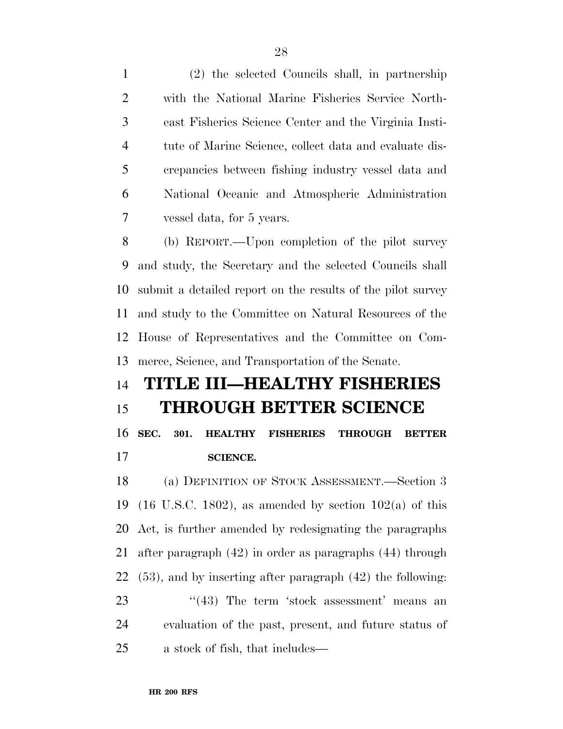(2) the selected Councils shall, in partnership with the National Marine Fisheries Service North- east Fisheries Science Center and the Virginia Insti- tute of Marine Science, collect data and evaluate dis- crepancies between fishing industry vessel data and National Oceanic and Atmospheric Administration vessel data, for 5 years.

 (b) REPORT.—Upon completion of the pilot survey and study, the Secretary and the selected Councils shall submit a detailed report on the results of the pilot survey and study to the Committee on Natural Resources of the House of Representatives and the Committee on Com-merce, Science, and Transportation of the Senate.

# **TITLE III—HEALTHY FISHERIES THROUGH BETTER SCIENCE**

 **SEC. 301. HEALTHY FISHERIES THROUGH BETTER SCIENCE.** 

 (a) DEFINITION OF STOCK ASSESSMENT.—Section 3 19 (16 U.S.C. 1802), as amended by section  $102(a)$  of this Act, is further amended by redesignating the paragraphs after paragraph (42) in order as paragraphs (44) through (53), and by inserting after paragraph (42) the following: 23 ''(43) The term 'stock assessment' means an evaluation of the past, present, and future status of a stock of fish, that includes—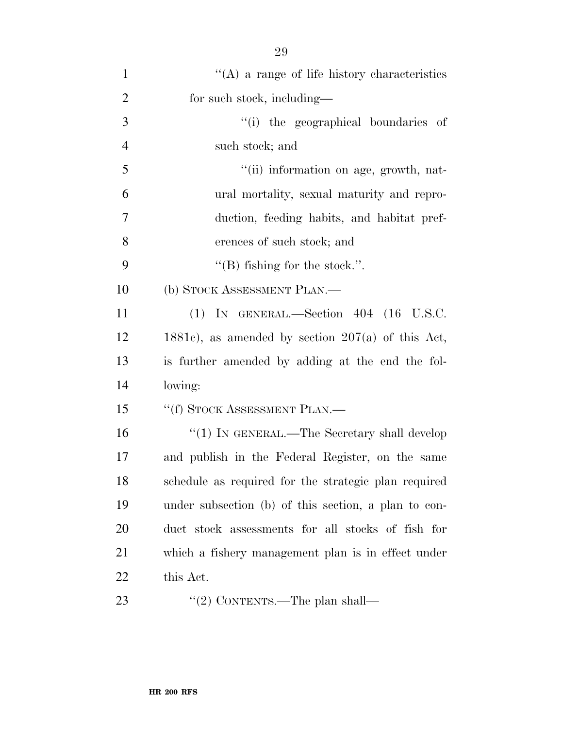| $\mathbf{1}$   | $\lq\lq$ (A) a range of life history characteristics |
|----------------|------------------------------------------------------|
| $\overline{2}$ | for such stock, including—                           |
| 3              | "(i) the geographical boundaries of                  |
| $\overline{4}$ | such stock; and                                      |
| 5              | "(ii) information on age, growth, nat-               |
| 6              | ural mortality, sexual maturity and repro-           |
| 7              | duction, feeding habits, and habitat pref-           |
| 8              | erences of such stock; and                           |
| 9              | "(B) fishing for the stock.".                        |
| 10             | (b) STOCK ASSESSMENT PLAN.—                          |
| 11             | $(1)$ IN GENERAL.—Section 404 $(16 \text{ U.S.C.})$  |
| 12             | 1881c), as amended by section $207(a)$ of this Act,  |
| 13             | is further amended by adding at the end the fol-     |
| 14             | lowing:                                              |
| 15             | "(f) STOCK ASSESSMENT PLAN.—                         |
| 16             | "(1) IN GENERAL.—The Secretary shall develop         |
| 17             | and publish in the Federal Register, on the same     |
| 18             | schedule as required for the strategic plan required |
| 19             | under subsection (b) of this section, a plan to con- |
| <b>20</b>      | duct stock assessments for all stocks of fish for    |
| 21             | which a fishery management plan is in effect under   |
| 22             | this Act.                                            |
| 23             | "(2) CONTENTS.—The plan shall—                       |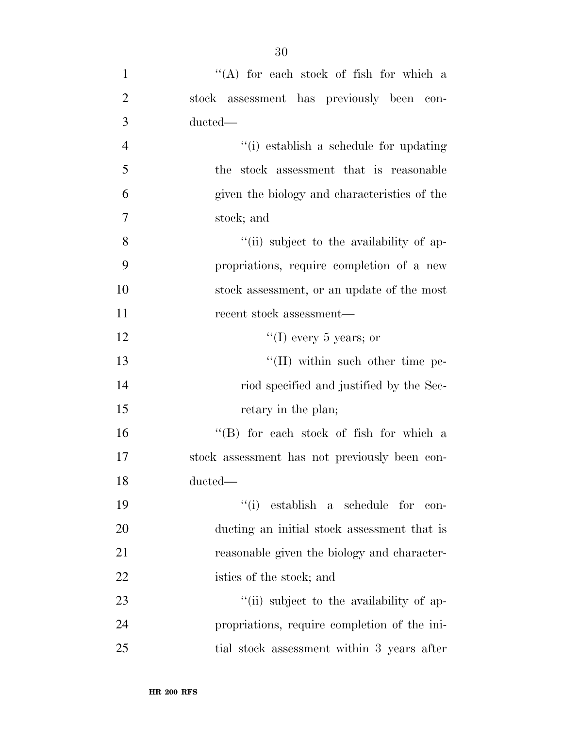| $\mathbf{1}$   | "(A) for each stock of fish for which a       |
|----------------|-----------------------------------------------|
| $\overline{2}$ | stock assessment has previously been con-     |
| 3              | ducted—                                       |
| $\overline{4}$ | "(i) establish a schedule for updating        |
| 5              | the stock assessment that is reasonable       |
| 6              | given the biology and characteristics of the  |
| 7              | stock; and                                    |
| 8              | "(ii) subject to the availability of ap-      |
| 9              | propriations, require completion of a new     |
| 10             | stock assessment, or an update of the most    |
| <sup>11</sup>  | recent stock assessment—                      |
| 12             | "(I) every 5 years; or                        |
| 13             | $\lq\lq$ (II) within such other time pe-      |
| 14             | riod specified and justified by the Sec-      |
| 15             | retary in the plan;                           |
| 16             | "(B) for each stock of fish for which a       |
| 17             | stock assessment has not previously been con- |
| 18             | ducted-                                       |
| 19             | ``(i)<br>establish a schedule for<br>con-     |
| 20             | ducting an initial stock assessment that is   |
| 21             | reasonable given the biology and character-   |
| 22             | istics of the stock; and                      |
| 23             | "(ii) subject to the availability of ap-      |
| 24             | propriations, require completion of the ini-  |
| 25             | tial stock assessment within 3 years after    |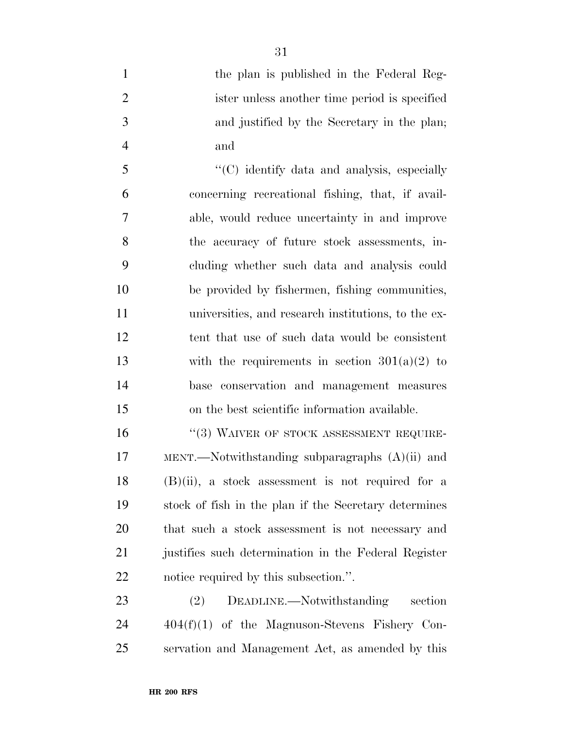1 the plan is published in the Federal Reg- ister unless another time period is specified and justified by the Secretary in the plan; and

5 ''(C) identify data and analysis, especially concerning recreational fishing, that, if avail- able, would reduce uncertainty in and improve the accuracy of future stock assessments, in- cluding whether such data and analysis could be provided by fishermen, fishing communities, universities, and research institutions, to the ex- tent that use of such data would be consistent 13 with the requirements in section  $301(a)(2)$  to base conservation and management measures on the best scientific information available.

16 "(3) WAIVER OF STOCK ASSESSMENT REQUIRE- MENT.—Notwithstanding subparagraphs (A)(ii) and (B)(ii), a stock assessment is not required for a stock of fish in the plan if the Secretary determines that such a stock assessment is not necessary and justifies such determination in the Federal Register notice required by this subsection.''.

 (2) DEADLINE.—Notwithstanding section 404(f)(1) of the Magnuson-Stevens Fishery Con-servation and Management Act, as amended by this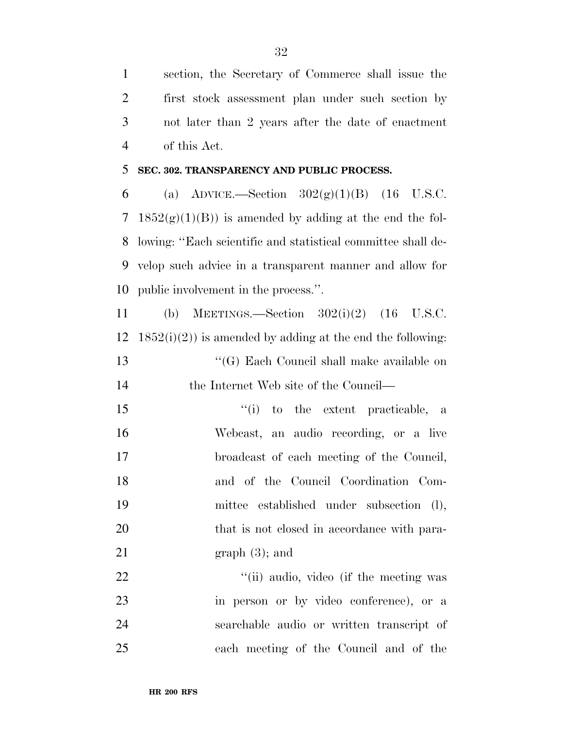section, the Secretary of Commerce shall issue the first stock assessment plan under such section by not later than 2 years after the date of enactment of this Act.

### **SEC. 302. TRANSPARENCY AND PUBLIC PROCESS.**

6 (a) ADVICE.—Section  $302(g)(1)(B)$  (16 U.S.C. 7 1852 $(g)(1)(B)$  is amended by adding at the end the fol- lowing: ''Each scientific and statistical committee shall de- velop such advice in a transparent manner and allow for public involvement in the process.''.

 (b) MEETINGS.—Section 302(i)(2) (16 U.S.C.  $1852(i)(2)$  is amended by adding at the end the following: ''(G) Each Council shall make available on 14 the Internet Web site of the Council— ''(i) to the extent practicable, a Webcast, an audio recording, or a live broadcast of each meeting of the Council, and of the Council Coordination Com-mittee established under subsection (l),

20 that is not closed in accordance with para-21 graph  $(3)$ ; and

22 ''(ii) audio, video (if the meeting was in person or by video conference), or a searchable audio or written transcript of each meeting of the Council and of the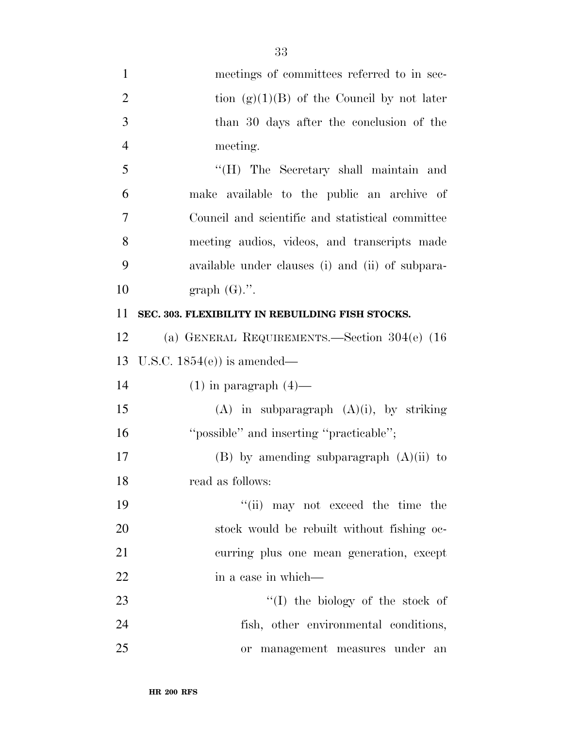| $\mathbf{1}$   | meetings of committees referred to in sec-       |
|----------------|--------------------------------------------------|
| $\overline{2}$ | tion $(g)(1)(B)$ of the Council by not later     |
| 3              | than 30 days after the conclusion of the         |
| $\overline{4}$ | meeting.                                         |
| 5              | "(H) The Secretary shall maintain and            |
| 6              | make available to the public an archive of       |
| 7              | Council and scientific and statistical committee |
| 8              | meeting audios, videos, and transcripts made     |
| 9              | available under clauses (i) and (ii) of subpara- |
| 10             | graph $(G)$ .".                                  |
| 11             | SEC. 303. FLEXIBILITY IN REBUILDING FISH STOCKS. |
| 12             | (a) GENERAL REQUIREMENTS.—Section $304(e)$ (16)  |
| 13             | U.S.C. $1854(e)$ is amended—                     |
| 14             | $(1)$ in paragraph $(4)$ —                       |
| 15             | $(A)$ in subparagraph $(A)(i)$ , by striking     |
| 16             | "possible" and inserting "practicable";          |
| 17             | $(B)$ by amending subparagraph $(A)(ii)$ to      |
| 18             | read as follows:                                 |
| 19             | "(ii) may not exceed the time the                |
| $20\,$         | stock would be rebuilt without fishing oc-       |
| 21             | curring plus one mean generation, except         |
| 22             | in a case in which—                              |
| 23             | $\lq\lq$ the biology of the stock of             |
| 24             | fish, other environmental conditions,            |
|                |                                                  |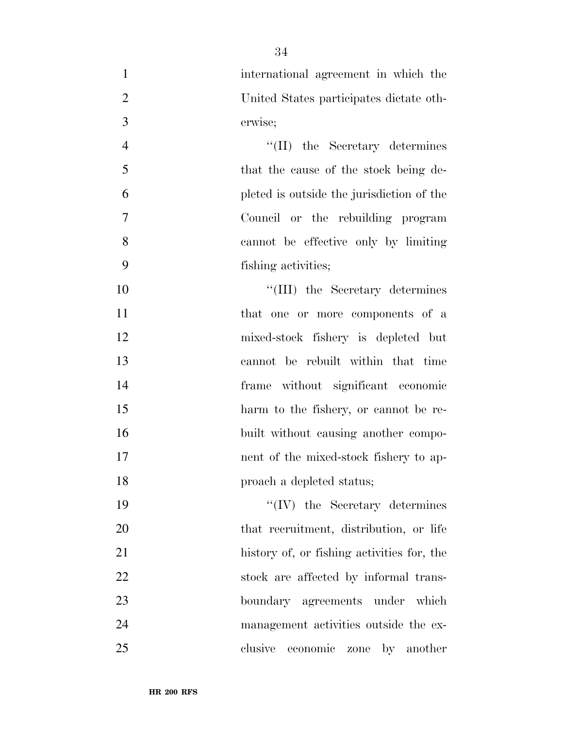| $\mathbf{1}$   | international agreement in which the       |
|----------------|--------------------------------------------|
| $\overline{2}$ | United States participates dictate oth-    |
| 3              | erwise;                                    |
| $\overline{4}$ | $\lq\lq$ (II) the Secretary determines     |
| 5              | that the cause of the stock being de-      |
| 6              | pleted is outside the jurisdiction of the  |
| $\overline{7}$ | Council or the rebuilding program          |
| 8              | cannot be effective only by limiting       |
| 9              | fishing activities;                        |
| 10             | "(III) the Secretary determines            |
| 11             | that one or more components of a           |
| 12             | mixed-stock fishery is depleted but        |
| 13             | cannot be rebuilt within that time         |
| 14             | frame without significant economic         |
| 15             | harm to the fishery, or cannot be re-      |
| 16             | built without causing another compo-       |
| 17             | nent of the mixed-stock fishery to ap-     |
| 18             | proach a depleted status;                  |
| 19             | $\lq\lq (IV)$ the Secretary determines     |
| 20             | that recruitment, distribution, or life    |
| 21             | history of, or fishing activities for, the |
| 22             | stock are affected by informal trans-      |
| 23             | boundary agreements under which            |
| 24             | management activities outside the ex-      |
| 25             | clusive<br>economic zone by another        |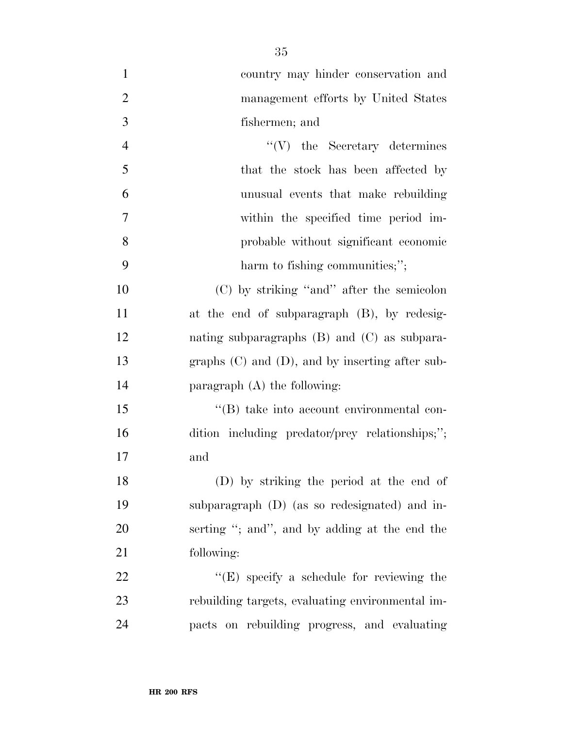country may hinder conservation and management efforts by United States fishermen; and 4 ''(V) the Secretary determines 5 that the stock has been affected by unusual events that make rebuilding within the specified time period im- probable without significant economic harm to fishing communities;''; (C) by striking ''and'' after the semicolon at the end of subparagraph (B), by redesig- nating subparagraphs (B) and (C) as subpara- graphs (C) and (D), and by inserting after sub- paragraph (A) the following: ''(B) take into account environmental con- dition including predator/prey relationships;''; and

 (D) by striking the period at the end of subparagraph (D) (as so redesignated) and in- serting ''; and'', and by adding at the end the following:

22 "'(E) specify a schedule for reviewing the rebuilding targets, evaluating environmental im-pacts on rebuilding progress, and evaluating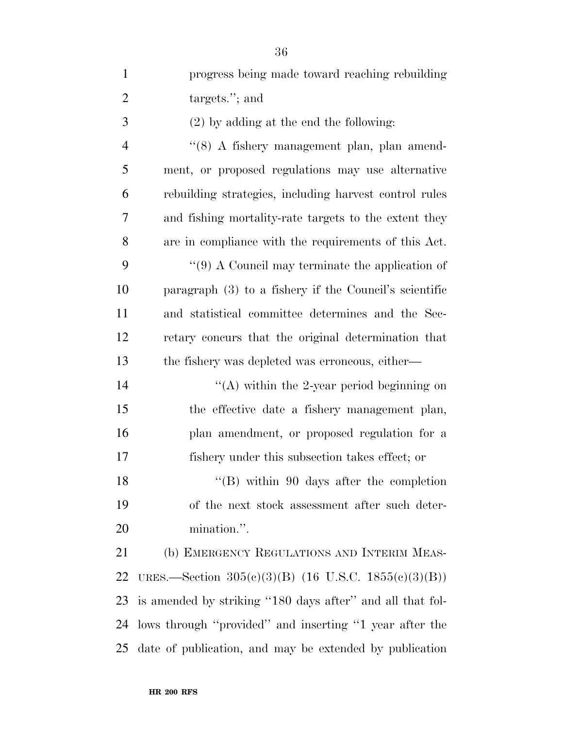| $\mathbf{1}$   | progress being made toward reaching rebuilding             |
|----------------|------------------------------------------------------------|
| $\overline{2}$ | targets."; and                                             |
| 3              | $(2)$ by adding at the end the following:                  |
| $\overline{4}$ | "(8) A fishery management plan, plan amend-                |
| 5              | ment, or proposed regulations may use alternative          |
| 6              | rebuilding strategies, including harvest control rules     |
| 7              | and fishing mortality-rate targets to the extent they      |
| 8              | are in compliance with the requirements of this Act.       |
| 9              | $\lq(9)$ A Council may terminate the application of        |
| 10             | paragraph $(3)$ to a fishery if the Council's scientific   |
| 11             | and statistical committee determines and the Sec-          |
| 12             | retary concurs that the original determination that        |
| 13             | the fishery was depleted was erroneous, either—            |
| 14             | "(A) within the 2-year period beginning on                 |
| 15             | the effective date a fishery management plan,              |
| 16             | plan amendment, or proposed regulation for a               |
| 17             | fishery under this subsection takes effect; or             |
| 18             | $\lq\lq$ (B) within 90 days after the completion           |
| 19             | of the next stock assessment after such deter-             |
| 20             | mination.".                                                |
| 21             | (b) EMERGENCY REGULATIONS AND INTERIM MEAS-                |
| 22             | URES.—Section $305(c)(3)(B)$ (16 U.S.C. 1855 $(c)(3)(B)$ ) |
| 23             | is amended by striking "180 days after" and all that fol-  |
| 24             | lows through "provided" and inserting "1 year after the    |

date of publication, and may be extended by publication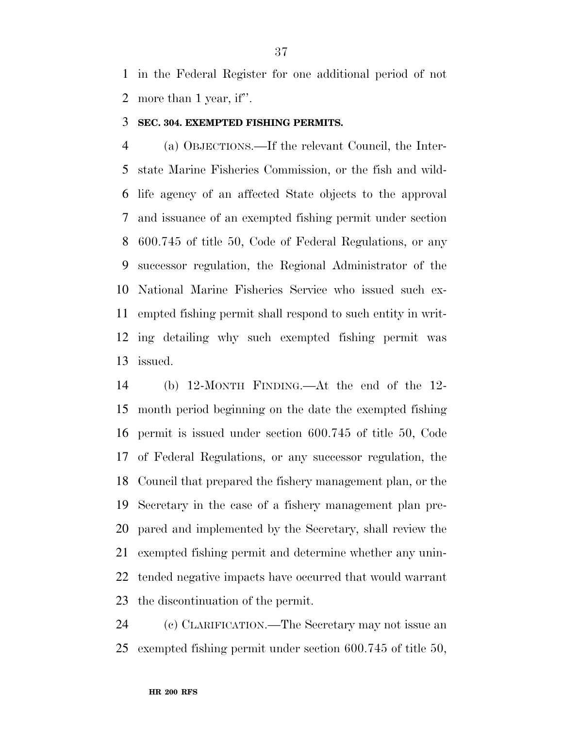in the Federal Register for one additional period of not more than 1 year, if''.

### **SEC. 304. EXEMPTED FISHING PERMITS.**

 (a) OBJECTIONS.—If the relevant Council, the Inter- state Marine Fisheries Commission, or the fish and wild- life agency of an affected State objects to the approval and issuance of an exempted fishing permit under section 600.745 of title 50, Code of Federal Regulations, or any successor regulation, the Regional Administrator of the National Marine Fisheries Service who issued such ex- empted fishing permit shall respond to such entity in writ- ing detailing why such exempted fishing permit was issued.

 (b) 12-MONTH FINDING.—At the end of the 12- month period beginning on the date the exempted fishing permit is issued under section 600.745 of title 50, Code of Federal Regulations, or any successor regulation, the Council that prepared the fishery management plan, or the Secretary in the case of a fishery management plan pre- pared and implemented by the Secretary, shall review the exempted fishing permit and determine whether any unin- tended negative impacts have occurred that would warrant the discontinuation of the permit.

 (c) CLARIFICATION.—The Secretary may not issue an exempted fishing permit under section 600.745 of title 50,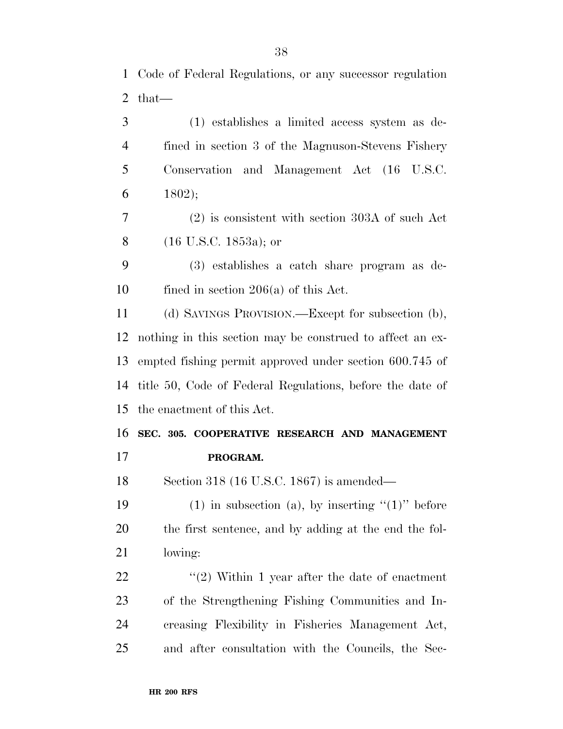Code of Federal Regulations, or any successor regulation that—

 (1) establishes a limited access system as de- fined in section 3 of the Magnuson-Stevens Fishery Conservation and Management Act (16 U.S.C. 1802);

 (2) is consistent with section 303A of such Act (16 U.S.C. 1853a); or

 (3) establishes a catch share program as de-fined in section 206(a) of this Act.

 (d) SAVINGS PROVISION.—Except for subsection (b), nothing in this section may be construed to affect an ex- empted fishing permit approved under section 600.745 of title 50, Code of Federal Regulations, before the date of the enactment of this Act.

**SEC. 305. COOPERATIVE RESEARCH AND MANAGEMENT** 

**PROGRAM.** 

Section 318 (16 U.S.C. 1867) is amended—

19 (1) in subsection (a), by inserting  $(1)$ " before the first sentence, and by adding at the end the fol-lowing:

 $\frac{1}{2}$   $\frac{1}{2}$  Within 1 year after the date of enactment of the Strengthening Fishing Communities and In- creasing Flexibility in Fisheries Management Act, and after consultation with the Councils, the Sec-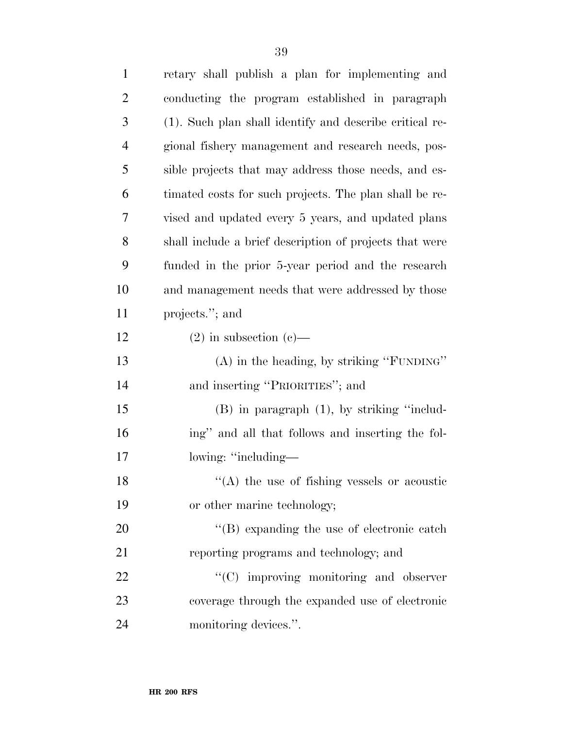| $\mathbf{1}$   | retary shall publish a plan for implementing and        |
|----------------|---------------------------------------------------------|
| $\overline{2}$ | conducting the program established in paragraph         |
| 3              | (1). Such plan shall identify and describe critical re- |
| $\overline{4}$ | gional fishery management and research needs, pos-      |
| 5              | sible projects that may address those needs, and es-    |
| 6              | timated costs for such projects. The plan shall be re-  |
| 7              | vised and updated every 5 years, and updated plans      |
| 8              | shall include a brief description of projects that were |
| 9              | funded in the prior 5-year period and the research      |
| 10             | and management needs that were addressed by those       |
| 11             | projects."; and                                         |
| 12             | $(2)$ in subsection $(e)$ —                             |
| 13             | (A) in the heading, by striking "FUNDING"               |
| 14             | and inserting "PRIORITIES"; and                         |
| 15             | $(B)$ in paragraph $(1)$ , by striking "includ-         |
| 16             | ing" and all that follows and inserting the fol-        |
| 17             | lowing: "including—                                     |
| 18             | $\cdot$ (A) the use of fishing vessels or acoustic      |
| 19             | or other marine technology;                             |
| 20             | $\lq\lq (B)$ expanding the use of electronic catch      |
| 21             | reporting programs and technology; and                  |
| 22             | "(C) improving monitoring and observer                  |
| 23             | coverage through the expanded use of electronic         |
| 24             | monitoring devices.".                                   |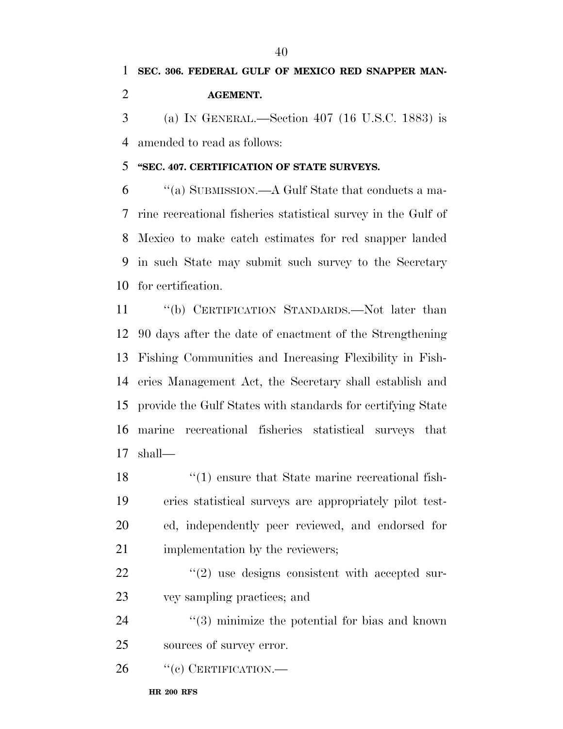(a) IN GENERAL.—Section 407 (16 U.S.C. 1883) is amended to read as follows:

### **''SEC. 407. CERTIFICATION OF STATE SURVEYS.**

 ''(a) SUBMISSION.—A Gulf State that conducts a ma- rine recreational fisheries statistical survey in the Gulf of Mexico to make catch estimates for red snapper landed in such State may submit such survey to the Secretary for certification.

 ''(b) CERTIFICATION STANDARDS.—Not later than 90 days after the date of enactment of the Strengthening Fishing Communities and Increasing Flexibility in Fish- eries Management Act, the Secretary shall establish and provide the Gulf States with standards for certifying State marine recreational fisheries statistical surveys that shall—

18 ''(1) ensure that State marine recreational fish- eries statistical surveys are appropriately pilot test- ed, independently peer reviewed, and endorsed for 21 implementation by the reviewers;

22  $\frac{1}{2}$   $\frac{1}{2}$  use designs consistent with accepted sur-vey sampling practices; and

 ''(3) minimize the potential for bias and known sources of survey error.

26 "(c) CERTIFICATION.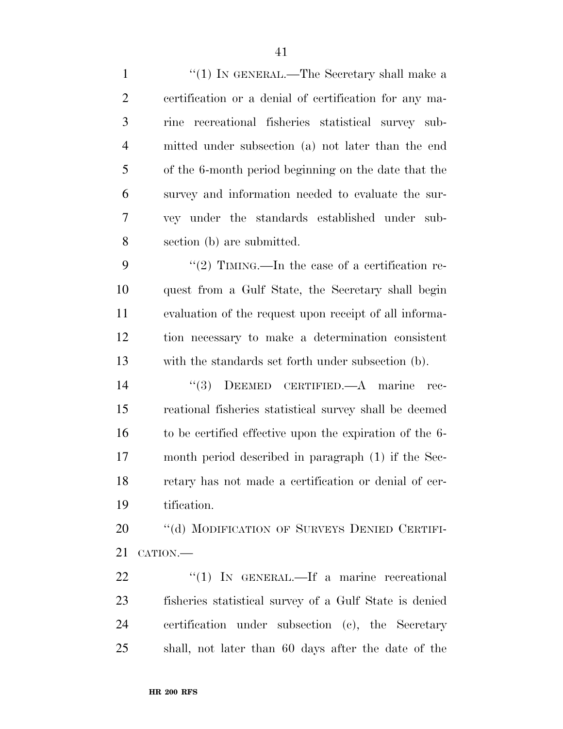1 ''(1) IN GENERAL.—The Secretary shall make a certification or a denial of certification for any ma- rine recreational fisheries statistical survey sub- mitted under subsection (a) not later than the end of the 6-month period beginning on the date that the survey and information needed to evaluate the sur- vey under the standards established under sub-section (b) are submitted.

9 ''(2) TIMING.—In the case of a certification re- quest from a Gulf State, the Secretary shall begin evaluation of the request upon receipt of all informa- tion necessary to make a determination consistent with the standards set forth under subsection (b).

 ''(3) DEEMED CERTIFIED.—A marine rec- reational fisheries statistical survey shall be deemed to be certified effective upon the expiration of the 6- month period described in paragraph (1) if the Sec- retary has not made a certification or denial of cer-tification.

20 "(d) MODIFICATION OF SURVEYS DENIED CERTIFI-CATION.—

22 "(1) IN GENERAL.—If a marine recreational fisheries statistical survey of a Gulf State is denied certification under subsection (c), the Secretary shall, not later than 60 days after the date of the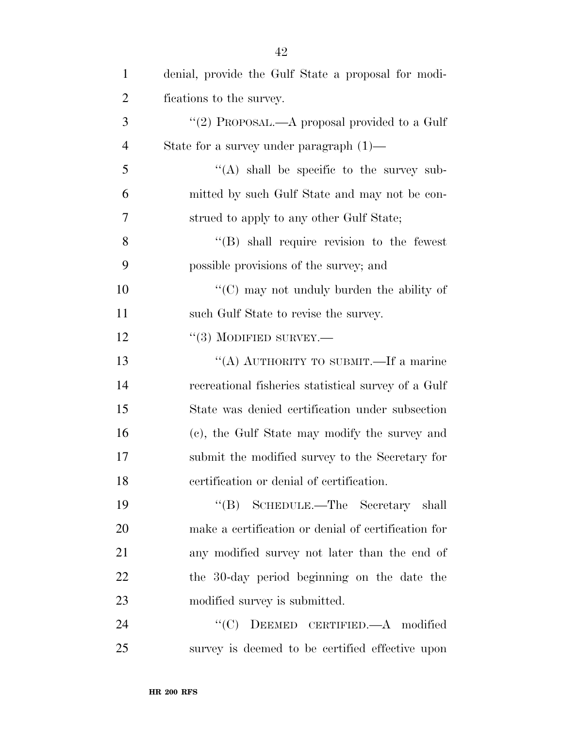| $\mathbf{1}$   | denial, provide the Gulf State a proposal for modi- |
|----------------|-----------------------------------------------------|
| $\overline{2}$ | fications to the survey.                            |
| 3              | "(2) PROPOSAL.—A proposal provided to a Gulf        |
| $\overline{4}$ | State for a survey under paragraph $(1)$ —          |
| 5              | $\lq\lq$ shall be specific to the survey sub-       |
| 6              | mitted by such Gulf State and may not be con-       |
| 7              | strued to apply to any other Gulf State;            |
| 8              | $\lq\lq$ Shall require revision to the fewest       |
| 9              | possible provisions of the survey; and              |
| 10             | $\cdot$ (C) may not unduly burden the ability of    |
| 11             | such Gulf State to revise the survey.               |
| 12             | $``(3)$ MODIFIED SURVEY.—                           |
| 13             | "(A) AUTHORITY TO SUBMIT.—If a marine               |
| 14             | recreational fisheries statistical survey of a Gulf |
| 15             | State was denied certification under subsection     |
| 16             | (c), the Gulf State may modify the survey and       |
| 17             | submit the modified survey to the Secretary for     |
| 18             | certification or denial of certification.           |
| 19             | "(B) SCHEDULE.—The Secretary shall                  |
| 20             | make a certification or denial of certification for |
| 21             | any modified survey not later than the end of       |
| 22             | the 30-day period beginning on the date the         |
| 23             | modified survey is submitted.                       |
| 24             | DEEMED CERTIFIED. $-A$ modified<br>``(C)            |
| 25             | survey is deemed to be certified effective upon     |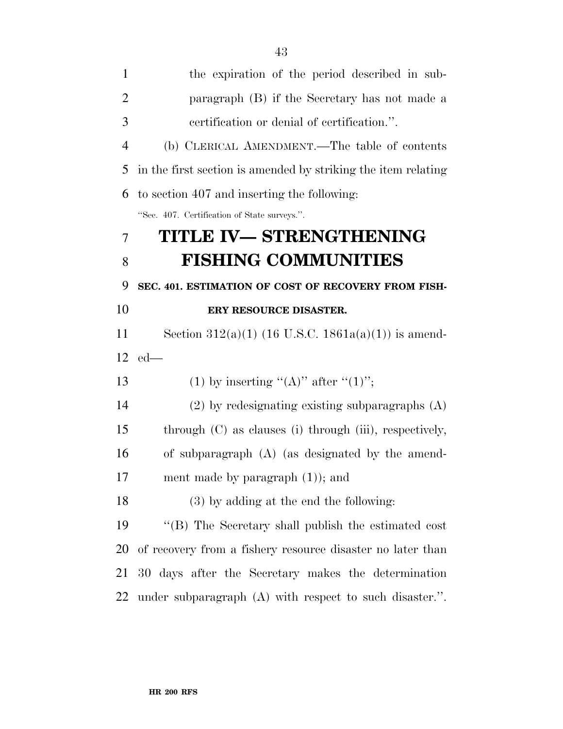| $\mathbf{1}$   | the expiration of the period described in sub-                 |
|----------------|----------------------------------------------------------------|
| $\overline{2}$ | paragraph (B) if the Secretary has not made a                  |
| 3              | certification or denial of certification.".                    |
| $\overline{4}$ | (b) CLERICAL AMENDMENT.—The table of contents                  |
| 5              | in the first section is amended by striking the item relating  |
| 6              | to section 407 and inserting the following:                    |
|                | "Sec. 407. Certification of State surveys.".                   |
| 7              | TITLE IV- STRENGTHENING                                        |
| 8              | <b>FISHING COMMUNITIES</b>                                     |
| 9              | SEC. 401. ESTIMATION OF COST OF RECOVERY FROM FISH-            |
| 10             | ERY RESOURCE DISASTER.                                         |
| 11             | Section 312(a)(1) (16 U.S.C. 1861a(a)(1)) is amend-            |
| 12             | $ed$ —                                                         |
| 13             | (1) by inserting "(A)" after "(1)";                            |
| 14             | $(2)$ by redesignating existing subparagraphs $(A)$            |
| 15             | through $(C)$ as clauses $(i)$ through $(iii)$ , respectively, |
| 16             | of subparagraph $(A)$ (as designated by the amend-             |
| 17             | ment made by paragraph $(1)$ ; and                             |
| 18             | $(3)$ by adding at the end the following:                      |
| 19             | "(B) The Secretary shall publish the estimated cost            |
| 20             | of recovery from a fishery resource disaster no later than     |
| 21             | 30 days after the Secretary makes the determination            |
| 22             | under subparagraph (A) with respect to such disaster.".        |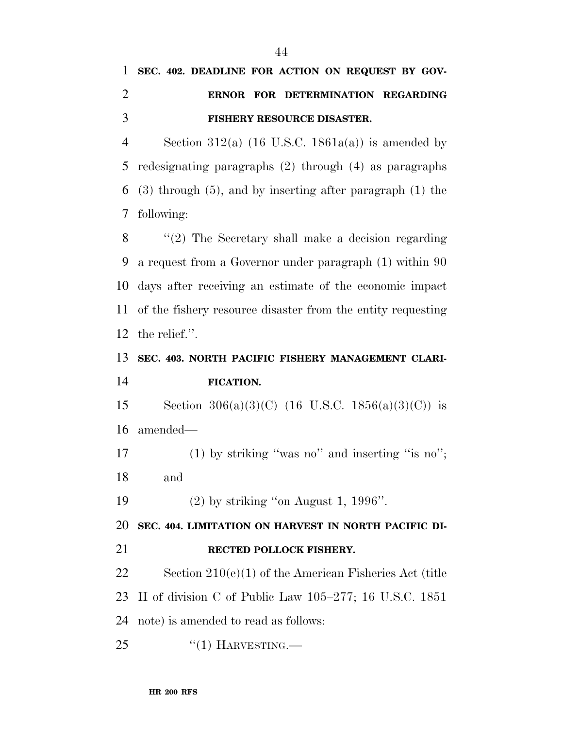**SEC. 402. DEADLINE FOR ACTION ON REQUEST BY GOV-**

| $\overline{2}$ | ERNOR FOR DETERMINATION REGARDING                                |
|----------------|------------------------------------------------------------------|
| 3              | FISHERY RESOURCE DISASTER.                                       |
| $\overline{4}$ | Section 312(a) $(16 \text{ U.S.C. } 1861a(a))$ is amended by     |
| 5              | redesignating paragraphs $(2)$ through $(4)$ as paragraphs       |
| 6              | $(3)$ through $(5)$ , and by inserting after paragraph $(1)$ the |
| 7              | following:                                                       |
| 8              | $\lq(2)$ The Secretary shall make a decision regarding           |
| 9              | a request from a Governor under paragraph (1) within 90          |
| 10             | days after receiving an estimate of the economic impact          |
| 11             | of the fishery resource disaster from the entity requesting      |
| 12             | the relief.".                                                    |
| 13             | SEC. 403. NORTH PACIFIC FISHERY MANAGEMENT CLARI-                |
| 14             | FICATION.                                                        |
| 15             | Section 306(a)(3)(C) (16 U.S.C. 1856(a)(3)(C)) is                |
| 16             | amended—                                                         |
| 17             | $(1)$ by striking "was no" and inserting "is no";                |
| 18             | and                                                              |

(2) by striking ''on August 1, 1996''.

**SEC. 404. LIMITATION ON HARVEST IN NORTH PACIFIC DI-**

**RECTED POLLOCK FISHERY.** 

 Section 210(e)(1) of the American Fisheries Act (title II of division C of Public Law 105–277; 16 U.S.C. 1851 note) is amended to read as follows:

25 "(1) HARVESTING.—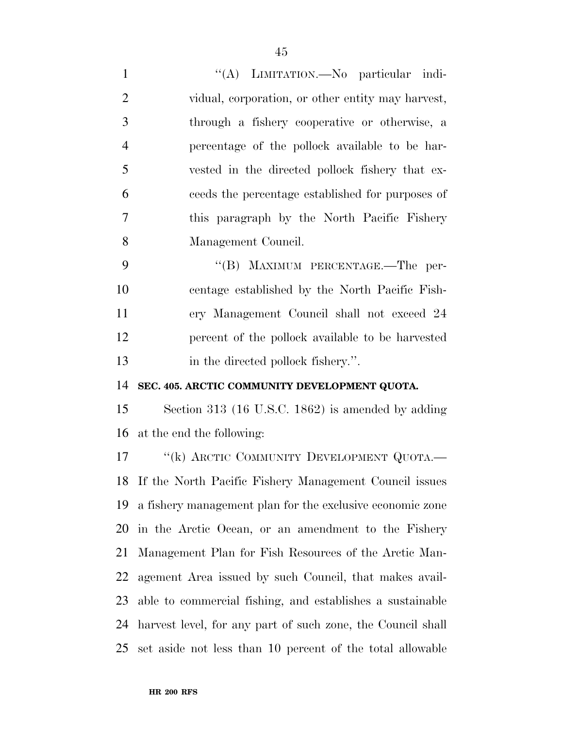1 ''(A) LIMITATION.—No particular indi- vidual, corporation, or other entity may harvest, through a fishery cooperative or otherwise, a percentage of the pollock available to be har- vested in the directed pollock fishery that ex- ceeds the percentage established for purposes of this paragraph by the North Pacific Fishery Management Council.

9 "'(B) MAXIMUM PERCENTAGE.—The per- centage established by the North Pacific Fish- ery Management Council shall not exceed 24 percent of the pollock available to be harvested 13 in the directed pollock fishery.".

### **SEC. 405. ARCTIC COMMUNITY DEVELOPMENT QUOTA.**

 Section 313 (16 U.S.C. 1862) is amended by adding at the end the following:

17 "(k) ARCTIC COMMUNITY DEVELOPMENT QUOTA.— If the North Pacific Fishery Management Council issues a fishery management plan for the exclusive economic zone in the Arctic Ocean, or an amendment to the Fishery Management Plan for Fish Resources of the Arctic Man- agement Area issued by such Council, that makes avail- able to commercial fishing, and establishes a sustainable harvest level, for any part of such zone, the Council shall set aside not less than 10 percent of the total allowable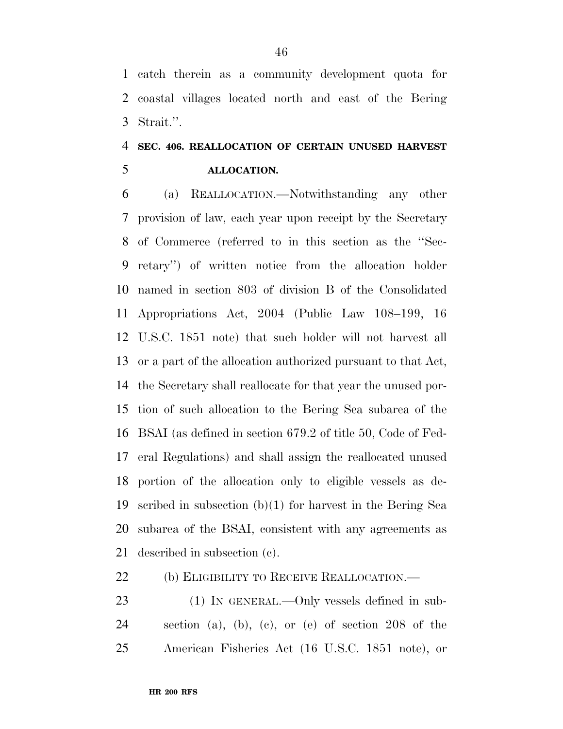catch therein as a community development quota for coastal villages located north and east of the Bering Strait.''.

# **SEC. 406. REALLOCATION OF CERTAIN UNUSED HARVEST ALLOCATION.**

 (a) REALLOCATION.—Notwithstanding any other provision of law, each year upon receipt by the Secretary of Commerce (referred to in this section as the ''Sec- retary'') of written notice from the allocation holder named in section 803 of division B of the Consolidated Appropriations Act, 2004 (Public Law 108–199, 16 U.S.C. 1851 note) that such holder will not harvest all or a part of the allocation authorized pursuant to that Act, the Secretary shall reallocate for that year the unused por- tion of such allocation to the Bering Sea subarea of the BSAI (as defined in section 679.2 of title 50, Code of Fed- eral Regulations) and shall assign the reallocated unused portion of the allocation only to eligible vessels as de- scribed in subsection (b)(1) for harvest in the Bering Sea subarea of the BSAI, consistent with any agreements as described in subsection (c).

22 (b) ELIGIBILITY TO RECEIVE REALLOCATION.—

23 (1) IN GENERAL.—Only vessels defined in sub- section (a), (b), (c), or (e) of section 208 of the American Fisheries Act (16 U.S.C. 1851 note), or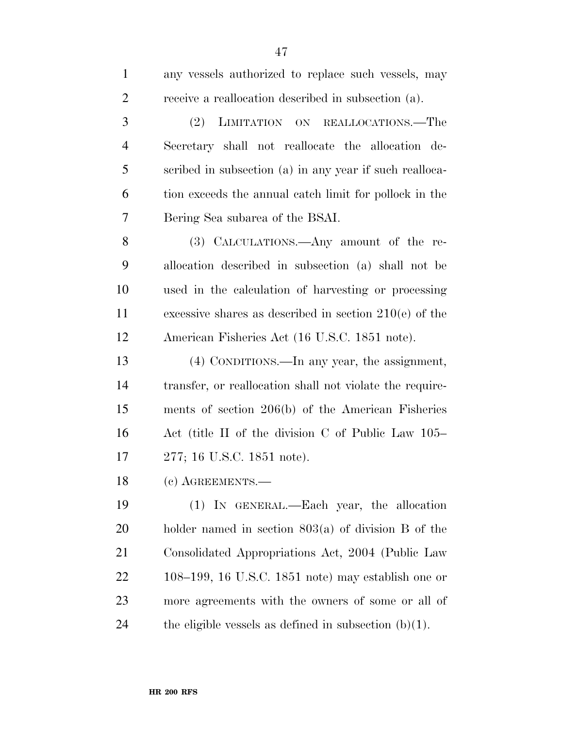| $\mathbf{1}$   | any vessels authorized to replace such vessels, may      |
|----------------|----------------------------------------------------------|
| $\overline{2}$ | receive a reallocation described in subsection (a).      |
| 3              | (2)<br>LIMITATION ON REALLOCATIONS.—The                  |
| $\overline{4}$ | Secretary shall not reallocate the allocation de-        |
| 5              | scribed in subsection (a) in any year if such realloca-  |
| 6              | tion exceeds the annual catch limit for pollock in the   |
| 7              | Bering Sea subarea of the BSAI.                          |
| 8              | (3) CALCULATIONS.—Any amount of the re-                  |
| 9              | allocation described in subsection (a) shall not be      |
| 10             | used in the calculation of harvesting or processing      |
| 11             | excessive shares as described in section $210(e)$ of the |
| 12             | American Fisheries Act (16 U.S.C. 1851 note).            |
| 13             | (4) CONDITIONS.—In any year, the assignment,             |
| 14             | transfer, or reallocation shall not violate the require- |
| 15             | ments of section $206(b)$ of the American Fisheries      |
| 16             | Act (title II of the division C of Public Law 105–       |
| 17             | 277; 16 U.S.C. 1851 note).                               |
| 18             | (c) AGREEMENTS.—                                         |
| 19             | (1) IN GENERAL.—Each year, the allocation                |
| 20             | holder named in section $803(a)$ of division B of the    |
| 21             | Consolidated Appropriations Act, 2004 (Public Law        |
| 22             | $108-199$ , 16 U.S.C. 1851 note) may establish one or    |
| 23             | more agreements with the owners of some or all of        |
| 24             | the eligible vessels as defined in subsection $(b)(1)$ . |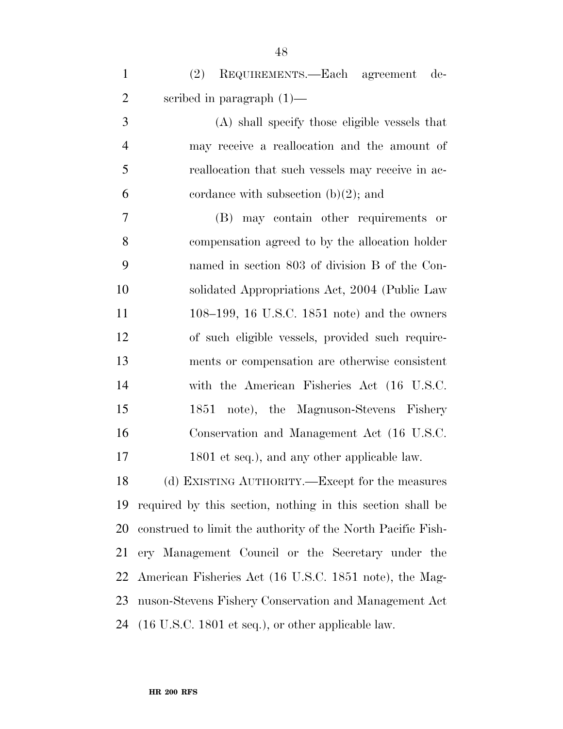| $\mathbf{1}$   | REQUIREMENTS.—Each agreement de-<br>(2)           |
|----------------|---------------------------------------------------|
| $\overline{2}$ | scribed in paragraph $(1)$ —                      |
| 3              | (A) shall specify those eligible vessels that     |
| $\overline{4}$ | may receive a reallocation and the amount of      |
| 5              | reallocation that such vessels may receive in ac- |
| 6              | cordance with subsection $(b)(2)$ ; and           |
| $\overline{7}$ | (B) may contain other requirements or             |
| 8              | compensation agreed to by the allocation holder   |
| 9              | named in section 803 of division B of the Con-    |
| 10             | solidated Appropriations Act, 2004 (Public Law    |
| 11             | 108–199, 16 U.S.C. 1851 note) and the owners      |
| 12             | of such eligible vessels, provided such require-  |
| 13             | ments or compensation are otherwise consistent    |
| 14             | with the American Fisheries Act (16 U.S.C.        |
| 15             | note), the Magnuson-Stevens Fishery<br>1851       |
| 16             | Conservation and Management Act (16 U.S.C.        |
| 17             | 1801 et seq.), and any other applicable law.      |
| 18             | (d) EXISTING AUTHORITY.—Except for the measures   |

 (d) EXISTING AUTHORITY.—Except for the measures required by this section, nothing in this section shall be construed to limit the authority of the North Pacific Fish- ery Management Council or the Secretary under the American Fisheries Act (16 U.S.C. 1851 note), the Mag- nuson-Stevens Fishery Conservation and Management Act (16 U.S.C. 1801 et seq.), or other applicable law.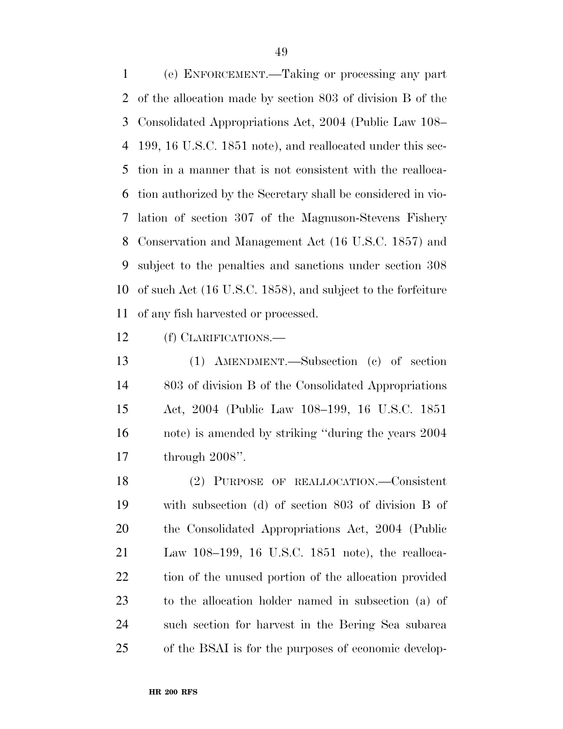(e) ENFORCEMENT.—Taking or processing any part of the allocation made by section 803 of division B of the Consolidated Appropriations Act, 2004 (Public Law 108– 199, 16 U.S.C. 1851 note), and reallocated under this sec- tion in a manner that is not consistent with the realloca- tion authorized by the Secretary shall be considered in vio- lation of section 307 of the Magnuson-Stevens Fishery Conservation and Management Act (16 U.S.C. 1857) and subject to the penalties and sanctions under section 308 of such Act (16 U.S.C. 1858), and subject to the forfeiture of any fish harvested or processed.

(f) CLARIFICATIONS.—

 (1) AMENDMENT.—Subsection (c) of section 803 of division B of the Consolidated Appropriations Act, 2004 (Public Law 108–199, 16 U.S.C. 1851 note) is amended by striking ''during the years 2004 through 2008''.

 (2) PURPOSE OF REALLOCATION.—Consistent with subsection (d) of section 803 of division B of the Consolidated Appropriations Act, 2004 (Public Law 108–199, 16 U.S.C. 1851 note), the realloca-22 tion of the unused portion of the allocation provided to the allocation holder named in subsection (a) of such section for harvest in the Bering Sea subarea of the BSAI is for the purposes of economic develop-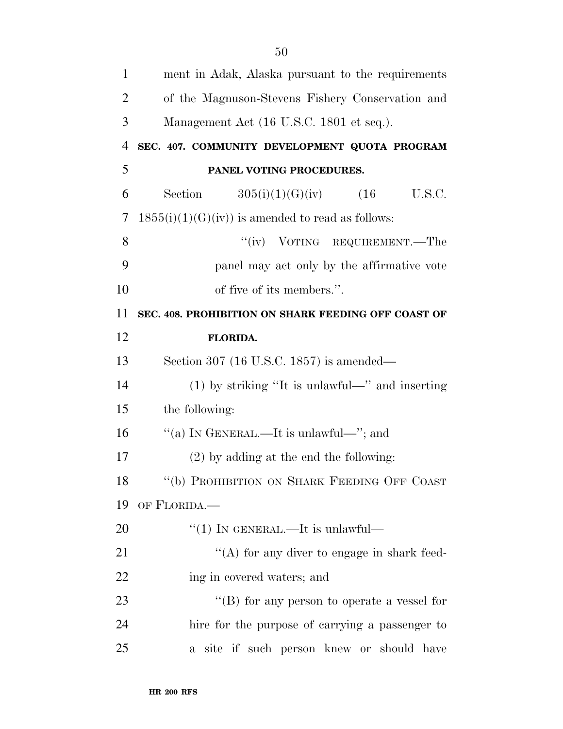| $\mathbf{1}$   | ment in Adak, Alaska pursuant to the requirements   |
|----------------|-----------------------------------------------------|
| $\overline{2}$ | of the Magnuson-Stevens Fishery Conservation and    |
| 3              | Management Act (16 U.S.C. 1801 et seq.).            |
| $\overline{4}$ | SEC. 407. COMMUNITY DEVELOPMENT QUOTA PROGRAM       |
| 5              | PANEL VOTING PROCEDURES.                            |
| 6              | Section<br>$305(i)(1)(G)(iv)$ (16<br>U.S.C.         |
| 7              | $1855(i)(1)(G)(iv)$ is amended to read as follows:  |
| 8              | "(iv) VOTING REQUIREMENT.—The                       |
| 9              | panel may act only by the affirmative vote          |
| 10             | of five of its members.".                           |
| 11             | SEC. 408. PROHIBITION ON SHARK FEEDING OFF COAST OF |
| 12             | <b>FLORIDA.</b>                                     |
| 13             | Section 307 (16 U.S.C. 1857) is amended—            |
| 14             | $(1)$ by striking "It is unlawful—" and inserting   |
| 15             | the following:                                      |
| 16             | "(a) IN GENERAL.—It is unlawful—"; and              |
| 17             | $(2)$ by adding at the end the following:           |
| 18             | "(b) PROHIBITION ON SHARK FEEDING OFF COAST         |
| 19             | OF FLORIDA.                                         |
| 20             | $\lq(1)$ In GENERAL.—It is unlawful—                |
| 21             | "(A) for any diver to engage in shark feed-         |
| 22             | ing in covered waters; and                          |
| 23             | "(B) for any person to operate a vessel for         |
| 24             | hire for the purpose of carrying a passenger to     |
| 25             | a site if such person knew or should have           |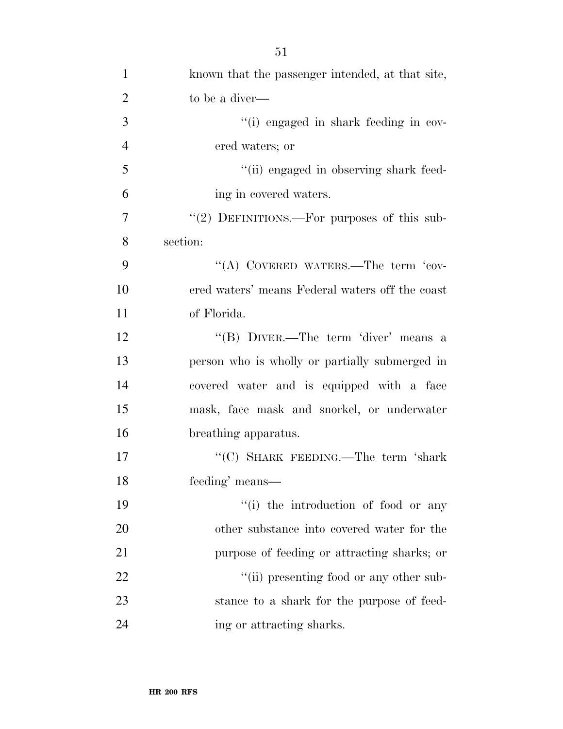| $\mathbf{1}$   | known that the passenger intended, at that site, |
|----------------|--------------------------------------------------|
| $\overline{2}$ | to be a diver—                                   |
| 3              | "(i) engaged in shark feeding in cov-            |
| $\overline{4}$ | ered waters; or                                  |
| 5              | "(ii) engaged in observing shark feed-           |
| 6              | ing in covered waters.                           |
| $\tau$         | "(2) DEFINITIONS.—For purposes of this sub-      |
| 8              | section:                                         |
| 9              | "(A) COVERED WATERS.—The term 'cov-              |
| 10             | ered waters' means Federal waters off the coast  |
| 11             | of Florida.                                      |
| 12             | "(B) DIVER.—The term 'diver' means a             |
| 13             | person who is wholly or partially submerged in   |
| 14             | covered water and is equipped with a face        |
| 15             | mask, face mask and snorkel, or underwater       |
| 16             | breathing apparatus.                             |
| 17             | "(C) SHARK FEEDING.—The term 'shark              |
| 18             | feeding' means-                                  |
| 19             | "(i) the introduction of food or any             |
| 20             | other substance into covered water for the       |
| 21             | purpose of feeding or attracting sharks; or      |
| 22             | "(ii) presenting food or any other sub-          |
| 23             | stance to a shark for the purpose of feed-       |
| 24             | ing or attracting sharks.                        |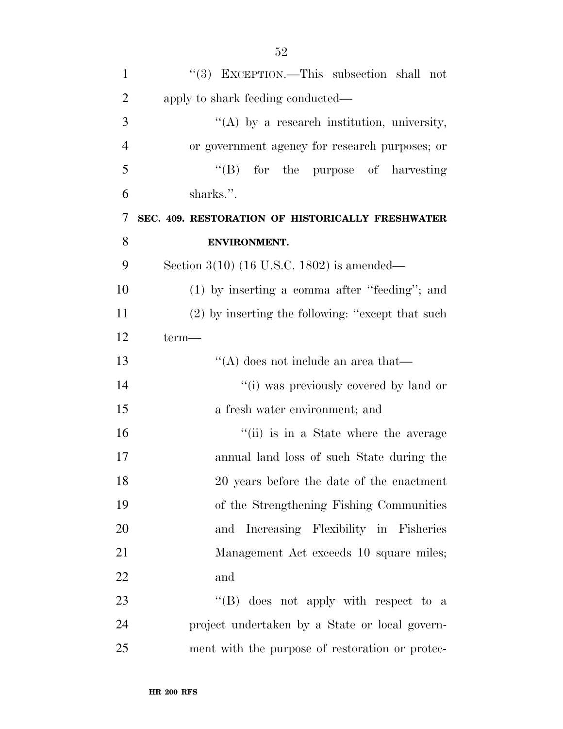| $\mathbf{1}$             | "(3) EXCEPTION.—This subsection shall not         |
|--------------------------|---------------------------------------------------|
| $\overline{2}$           | apply to shark feeding conducted—                 |
| 3                        | $\lq\lq$ by a research institution, university,   |
| $\overline{4}$           | or government agency for research purposes; or    |
| 5                        | $\lq\lq(B)$ for the purpose of harvesting         |
| 6                        | sharks.".                                         |
| $\overline{\mathcal{L}}$ | SEC. 409. RESTORATION OF HISTORICALLY FRESHWATER  |
| 8                        | <b>ENVIRONMENT.</b>                               |
| 9                        | Section $3(10)$ (16 U.S.C. 1802) is amended—      |
| 10                       | $(1)$ by inserting a comma after "feeding"; and   |
| 11                       | (2) by inserting the following: "except that such |
| 12                       | term—                                             |
| 13                       | "(A) does not include an area that—               |
| 14                       | "(i) was previously covered by land or            |
| 15                       | a fresh water environment; and                    |
| 16                       | "(ii) is in a State where the average             |
| 17                       | annual land loss of such State during the         |
| 18                       | 20 years before the date of the enactment         |
| 19                       | of the Strengthening Fishing Communities          |
| 20                       | Increasing Flexibility in Fisheries<br>and        |
| 21                       | Management Act exceeds 10 square miles;           |
| 22                       | and                                               |
| 23                       | "(B) does not apply with respect to a             |
| 24                       | project undertaken by a State or local govern-    |
| 25                       | ment with the purpose of restoration or protec-   |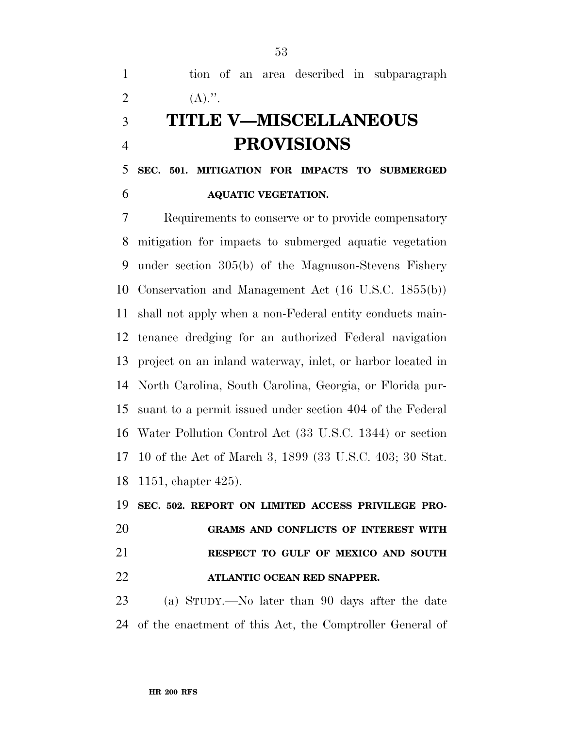tion of an area described in subparagraph 2  $(A).$ ". **TITLE V—MISCELLANEOUS** 

# **PROVISIONS**

 **SEC. 501. MITIGATION FOR IMPACTS TO SUBMERGED AQUATIC VEGETATION.** 

 Requirements to conserve or to provide compensatory mitigation for impacts to submerged aquatic vegetation under section 305(b) of the Magnuson-Stevens Fishery Conservation and Management Act (16 U.S.C. 1855(b)) shall not apply when a non-Federal entity conducts main- tenance dredging for an authorized Federal navigation project on an inland waterway, inlet, or harbor located in North Carolina, South Carolina, Georgia, or Florida pur- suant to a permit issued under section 404 of the Federal Water Pollution Control Act (33 U.S.C. 1344) or section 10 of the Act of March 3, 1899 (33 U.S.C. 403; 30 Stat. 1151, chapter 425).

 **SEC. 502. REPORT ON LIMITED ACCESS PRIVILEGE PRO- GRAMS AND CONFLICTS OF INTEREST WITH RESPECT TO GULF OF MEXICO AND SOUTH ATLANTIC OCEAN RED SNAPPER.** 

 (a) STUDY.—No later than 90 days after the date of the enactment of this Act, the Comptroller General of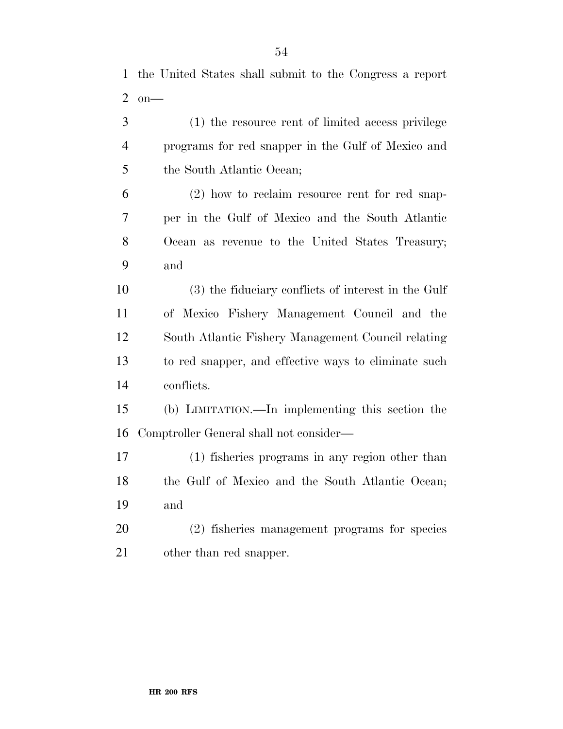| $\overline{2}$ | $on$ —                                               |
|----------------|------------------------------------------------------|
| 3              | (1) the resource rent of limited access privilege    |
| $\overline{4}$ | programs for red snapper in the Gulf of Mexico and   |
| 5              | the South Atlantic Ocean;                            |
| 6              | $(2)$ how to reclaim resource rent for red snap-     |
| 7              | per in the Gulf of Mexico and the South Atlantic     |
| 8              | Ocean as revenue to the United States Treasury;      |
| 9              | and                                                  |
| 10             | (3) the fiduciary conflicts of interest in the Gulf  |
| 11             | of Mexico Fishery Management Council and the         |
| 12             | South Atlantic Fishery Management Council relating   |
| 13             | to red snapper, and effective ways to eliminate such |
| 14             | conflicts.                                           |
| 15             | (b) LIMITATION.—In implementing this section the     |
| 16             | Comptroller General shall not consider—              |
| 17             | (1) fisheries programs in any region other than      |
| 18             | the Gulf of Mexico and the South Atlantic Ocean;     |
| 19             | and                                                  |
| 20             | (2) fisheries management programs for species        |
| 21             | other than red snapper.                              |

the United States shall submit to the Congress a report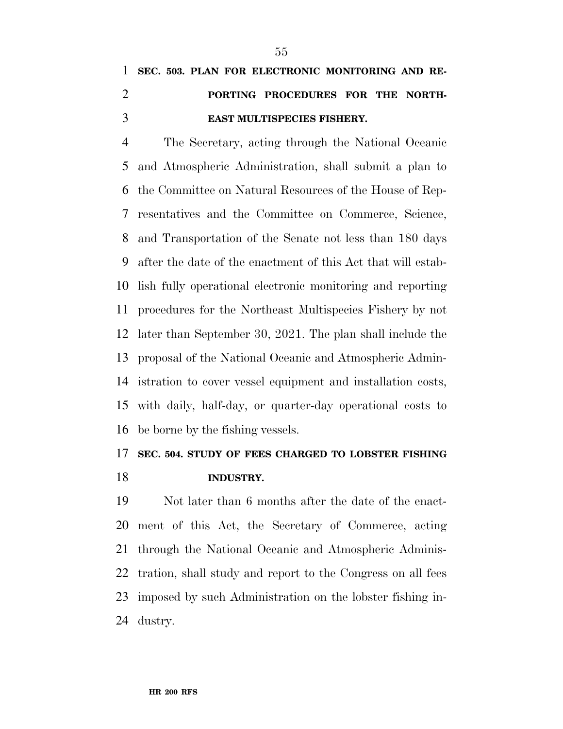# **SEC. 503. PLAN FOR ELECTRONIC MONITORING AND RE- PORTING PROCEDURES FOR THE NORTH-EAST MULTISPECIES FISHERY.**

 The Secretary, acting through the National Oceanic and Atmospheric Administration, shall submit a plan to the Committee on Natural Resources of the House of Rep- resentatives and the Committee on Commerce, Science, and Transportation of the Senate not less than 180 days after the date of the enactment of this Act that will estab- lish fully operational electronic monitoring and reporting procedures for the Northeast Multispecies Fishery by not later than September 30, 2021. The plan shall include the proposal of the National Oceanic and Atmospheric Admin- istration to cover vessel equipment and installation costs, with daily, half-day, or quarter-day operational costs to be borne by the fishing vessels.

### **SEC. 504. STUDY OF FEES CHARGED TO LOBSTER FISHING INDUSTRY.**

 Not later than 6 months after the date of the enact- ment of this Act, the Secretary of Commerce, acting through the National Oceanic and Atmospheric Adminis- tration, shall study and report to the Congress on all fees imposed by such Administration on the lobster fishing in-dustry.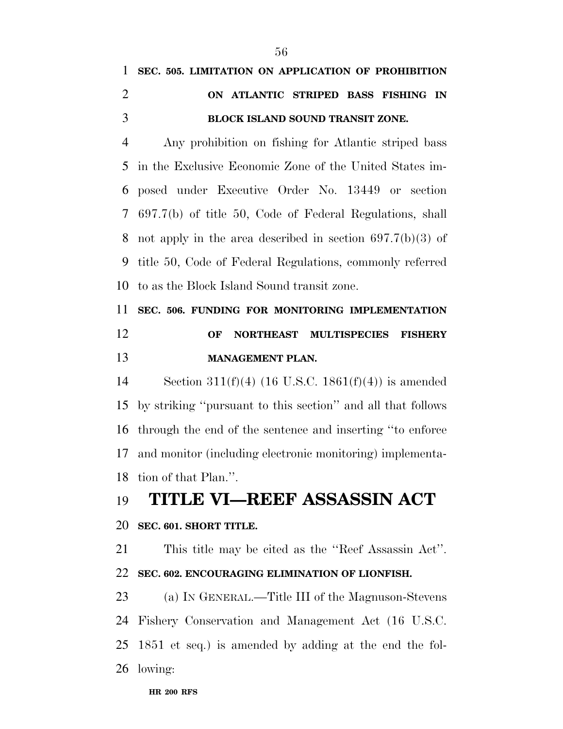|               | 1 SEC. 505. LIMITATION ON APPLICATION OF PROHIBITION |
|---------------|------------------------------------------------------|
| $\mathcal{D}$ | ON ATLANTIC STRIPED BASS FISHING IN                  |
|               | <b>BLOCK ISLAND SOUND TRANSIT ZONE.</b>              |

 Any prohibition on fishing for Atlantic striped bass in the Exclusive Economic Zone of the United States im- posed under Executive Order No. 13449 or section 697.7(b) of title 50, Code of Federal Regulations, shall not apply in the area described in section 697.7(b)(3) of title 50, Code of Federal Regulations, commonly referred to as the Block Island Sound transit zone.

# **SEC. 506. FUNDING FOR MONITORING IMPLEMENTATION OF NORTHEAST MULTISPECIES FISHERY MANAGEMENT PLAN.**

 Section 311(f)(4) (16 U.S.C. 1861(f)(4)) is amended by striking ''pursuant to this section'' and all that follows through the end of the sentence and inserting ''to enforce and monitor (including electronic monitoring) implementa-tion of that Plan.''.

### **TITLE VI—REEF ASSASSIN ACT**

### **SEC. 601. SHORT TITLE.**

 This title may be cited as the ''Reef Assassin Act''. **SEC. 602. ENCOURAGING ELIMINATION OF LIONFISH.** 

 (a) IN GENERAL.—Title III of the Magnuson-Stevens Fishery Conservation and Management Act (16 U.S.C. 1851 et seq.) is amended by adding at the end the fol-lowing: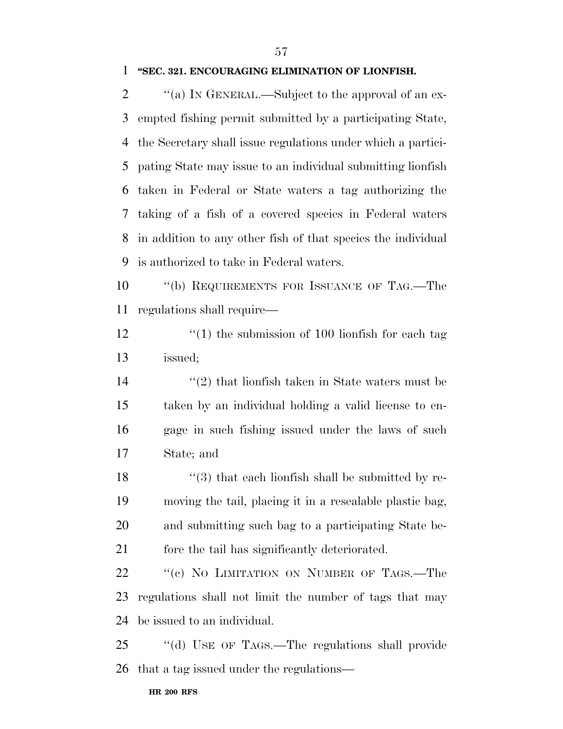#### **''SEC. 321. ENCOURAGING ELIMINATION OF LIONFISH.**

 $\cdot$  "(a) IN GENERAL.—Subject to the approval of an ex- empted fishing permit submitted by a participating State, the Secretary shall issue regulations under which a partici- pating State may issue to an individual submitting lionfish taken in Federal or State waters a tag authorizing the taking of a fish of a covered species in Federal waters in addition to any other fish of that species the individual is authorized to take in Federal waters.

10 "(b) REQUIREMENTS FOR ISSUANCE OF TAG.—The regulations shall require—

12 ''(1) the submission of 100 lionfish for each tag issued;

 ''(2) that lionfish taken in State waters must be taken by an individual holding a valid license to en- gage in such fishing issued under the laws of such State; and

 $\frac{1}{3}$  that each lionfish shall be submitted by re- moving the tail, placing it in a resealable plastic bag, and submitting such bag to a participating State be-fore the tail has significantly deteriorated.

22 "(c) NO LIMITATION ON NUMBER OF TAGS.—The regulations shall not limit the number of tags that may be issued to an individual.

 ''(d) USE OF TAGS.—The regulations shall provide that a tag issued under the regulations—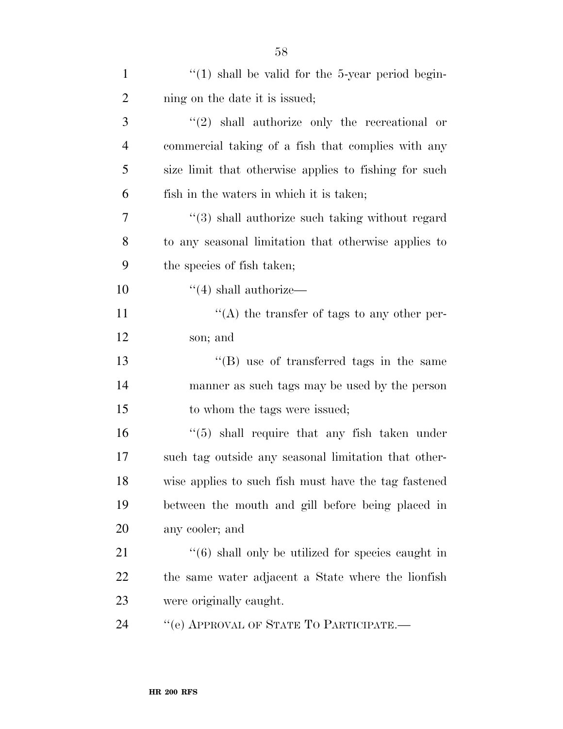| $\mathbf{1}$   | $\lq(1)$ shall be valid for the 5-year period begin-              |
|----------------|-------------------------------------------------------------------|
| $\overline{2}$ | ning on the date it is issued;                                    |
| 3              | $\lq(2)$ shall authorize only the recreational or                 |
| $\overline{4}$ | commercial taking of a fish that complies with any                |
| 5              | size limit that otherwise applies to fishing for such             |
| 6              | fish in the waters in which it is taken;                          |
| 7              | "(3) shall authorize such taking without regard                   |
| 8              | to any seasonal limitation that otherwise applies to              |
| 9              | the species of fish taken;                                        |
| 10             | $\cdot$ (4) shall authorize—                                      |
| 11             | $\lq\lq$ the transfer of tags to any other per-                   |
| 12             | son; and                                                          |
| 13             | "(B) use of transferred tags in the same                          |
| 14             | manner as such tags may be used by the person                     |
| 15             | to whom the tags were issued;                                     |
| 16             | $\cdot\cdot$ (5) shall require that any fish taken under          |
| 17             | such tag outside any seasonal limitation that other-              |
| 18             | wise applies to such fish must have the tag fastened              |
| 19             | between the mouth and gill before being placed in                 |
| 20             | any cooler; and                                                   |
| 21             | $\cdot\cdot\cdot(6)$ shall only be utilized for species caught in |
| 22             | the same water adjacent a State where the lionfish                |
| 23             | were originally caught.                                           |
| 24             | "(e) APPROVAL OF STATE TO PARTICIPATE.-                           |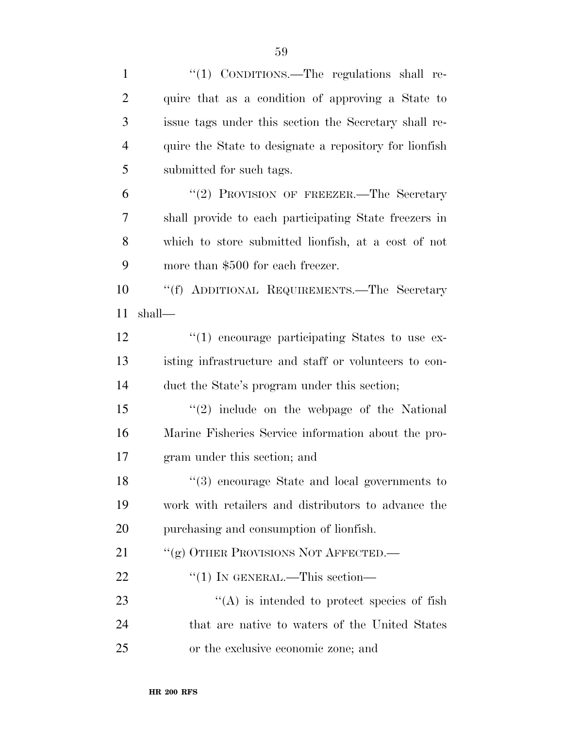| $\mathbf{1}$   | "(1) CONDITIONS.—The regulations shall re-             |
|----------------|--------------------------------------------------------|
| $\overline{2}$ | quire that as a condition of approving a State to      |
| 3              | issue tags under this section the Secretary shall re-  |
| $\overline{4}$ | quire the State to designate a repository for lionfish |
| 5              | submitted for such tags.                               |
| 6              | "(2) PROVISION OF FREEZER.—The Secretary               |
| 7              | shall provide to each participating State freezers in  |
| 8              | which to store submitted lionfish, at a cost of not    |
| 9              | more than \$500 for each freezer.                      |
| 10             | "(f) ADDITIONAL REQUIREMENTS.—The Secretary            |
| 11             | shall—                                                 |
| 12             | "(1) encourage participating States to use ex-         |
| 13             | isting infrastructure and staff or volunteers to con-  |
| 14             | duct the State's program under this section;           |
| 15             | $\lq(2)$ include on the webpage of the National        |
| 16             | Marine Fisheries Service information about the pro-    |
| 17             | gram under this section; and                           |
| 18             | $\lq(3)$ encourage State and local governments to      |
| 19             | work with retailers and distributors to advance the    |
| 20             | purchasing and consumption of lionfish.                |
| 21             | "(g) OTHER PROVISIONS NOT AFFECTED.—                   |
| 22             | $\lq(1)$ In GENERAL.—This section—                     |
| 23             | $\lq\lq$ is intended to protect species of fish        |
| 24             | that are native to waters of the United States         |
| 25             | or the exclusive economic zone; and                    |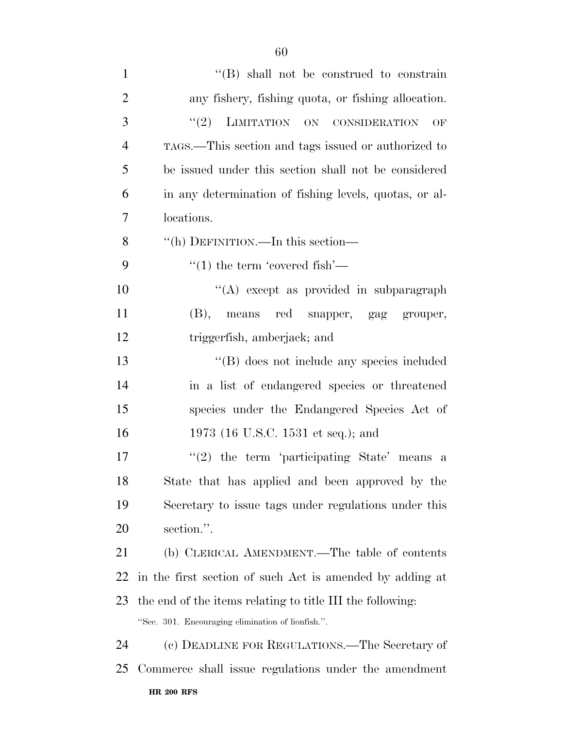| $\mathbf{1}$   | $\lq\lq$ Shall not be construed to constrain              |
|----------------|-----------------------------------------------------------|
| $\overline{2}$ | any fishery, fishing quota, or fishing allocation.        |
| 3              | LIMITATION ON CONSIDERATION<br>(2)<br>OF                  |
| $\overline{4}$ | TAGS.—This section and tags issued or authorized to       |
| 5              | be issued under this section shall not be considered      |
| 6              | in any determination of fishing levels, quotas, or al-    |
| $\overline{7}$ | locations.                                                |
| 8              | "(h) DEFINITION.—In this section—                         |
| 9              | $\lq(1)$ the term 'covered fish'—                         |
| 10             | "(A) except as provided in subparagraph                   |
| 11             | (B), means red snapper, gag grouper,                      |
| 12             | triggerfish, amberjack; and                               |
| 13             | "(B) does not include any species included                |
| 14             | in a list of endangered species or threatened             |
| 15             | species under the Endangered Species Act of               |
| 16             | 1973 (16 U.S.C. 1531 et seq.); and                        |
| 17             | $f'(2)$ the term 'participating State' means a            |
| 18             | State that has applied and been approved by the           |
| 19             | Secretary to issue tags under regulations under this      |
| 20             | section.".                                                |
| 21             | (b) CLERICAL AMENDMENT.—The table of contents             |
| 22             | in the first section of such Act is amended by adding at  |
| 23             | the end of the items relating to title III the following: |
|                | "Sec. 301. Encouraging elimination of lionfish.".         |
| 24             | (c) DEADLINE FOR REGULATIONS.—The Secretary of            |
| 25             | Commerce shall issue regulations under the amendment      |
|                | <b>HR 200 RFS</b>                                         |